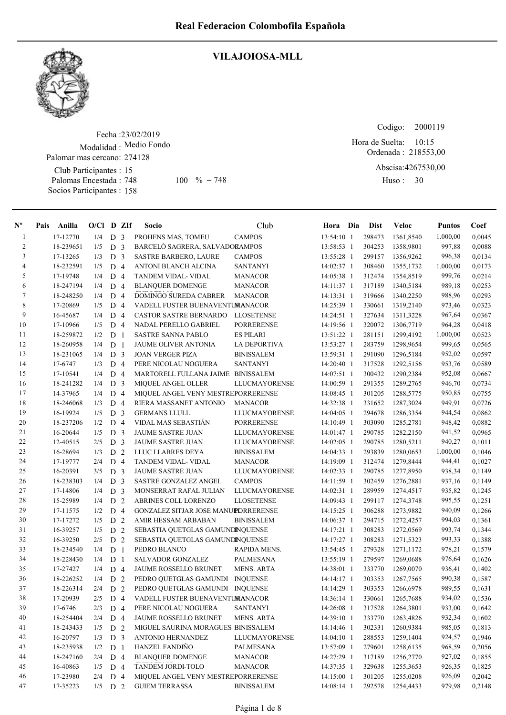

#### VILAJOIOSA-MLL

Fecha : 23/02/2019 Modalidad : Medio Fondo Club Participantes : 15 Palomas Encestada : Socios Participantes : 158 Palomar mas cercano: 274128 748 100  $\% = 748$  Huso: 30

Ordenada : 218553,00 Abscisa: 4267530,00 Huso: 30 Hora de Suelta: 10:15

Codigo: 2000119

| $\mathbf{N}^{\mathbf{o}}$ | Pais | Anilla    | $O/Cl$ D ZIf |                |                | Socio                               | Club                 | Hora Dia     | <b>Dist</b> | Veloc     | <b>Puntos</b> | Coef   |
|---------------------------|------|-----------|--------------|----------------|----------------|-------------------------------------|----------------------|--------------|-------------|-----------|---------------|--------|
| $\mathbf{1}$              |      | 17-12770  | 1/4          | D <sub>3</sub> |                | PROHENS MAS, TOMEU                  | <b>CAMPOS</b>        | 13:54:10 1   | 298473      | 1361,8540 | 1.000,00      | 0,0045 |
| $\overline{c}$            |      | 18-239651 | 1/5          | D <sub>3</sub> |                | BARCELÓ SAGRERA, SALVADORAMPOS      |                      | 13:58:53 1   | 304253      | 1358,9801 | 997,88        | 0,0088 |
| 3                         |      | 17-13265  | 1/3          | D              | 3              | <b>SASTRE BARBERO, LAURE</b>        | <b>CAMPOS</b>        | 13:55:28 1   | 299157      | 1356,9262 | 996,38        | 0,0134 |
| $\overline{\mathcal{L}}$  |      | 18-232591 | 1/5          | D <sub>4</sub> |                | ANTONI BLANCH ALCINA                | <b>SANTANYI</b>      | 14:02:37 1   | 308460      | 1355,1732 | 1.000,00      | 0,0173 |
| 5                         |      | 17-19748  | 1/4          | D              | $\overline{4}$ | TANDEM VIDAL- VIDAL                 | <b>MANACOR</b>       | 14:05:38 1   | 312474      | 1354,8519 | 999,76        | 0,0214 |
| 6                         |      | 18-247194 | 1/4          | D              | $\overline{4}$ | <b>BLANQUER DOMENGE</b>             | <b>MANACOR</b>       | 14:11:37 1   | 317189      | 1340,5184 | 989,18        | 0,0253 |
| 7                         |      | 18-248250 | 1/4          | D              | $\overline{4}$ | DOMINGO SUREDA CABRER               | <b>MANACOR</b>       | $14:13:31$ 1 | 319666      | 1340,2250 | 988,96        | 0,0293 |
| 8                         |      | 17-20869  | 1/5          | D              | $\overline{4}$ | VADELL FUSTER BUENAVENTUMANACOR     |                      | 14:25:39 1   | 330661      | 1319,2140 | 973,46        | 0,0323 |
| 9                         |      | 16-45687  | 1/4          | D              | $\overline{4}$ | <b>CASTOR SASTRE BERNARDO</b>       | <b>LLOSETENSE</b>    | 14:24:51 1   | 327634      | 1311,3228 | 967,64        | 0,0367 |
| 10                        |      | 17-10966  | 1/5          | D              | $\overline{4}$ | NADAL PERELLO GABRIEL               | <b>PORRERENSE</b>    | 14:19:56 1   | 320072      | 1306,7719 | 964,28        | 0,0418 |
| 11                        |      | 18-259872 | 1/2          | D <sub>1</sub> |                | <b>SASTRE SANNA PABLO</b>           | <b>ES PILARI</b>     | 13:51:22 1   | 281151      | 1299,4192 | 1.000,00      | 0,0523 |
| 12                        |      | 18-260958 | 1/4          | D <sub>1</sub> |                | <b>JAUME OLIVER ANTONIA</b>         | <b>LA DEPORTIVA</b>  | 13:53:27 1   | 283759      | 1298,9654 | 999,65        | 0,0565 |
| 13                        |      | 18-231065 | 1/4          | D <sub>3</sub> |                | <b>JOAN VERGER PIZA</b>             | <b>BINISSALEM</b>    | 13:59:31 1   | 291090      | 1296,5184 | 952,02        | 0,0597 |
| 14                        |      | 17-6747   | 1/3          | D <sub>4</sub> |                | PERE NICOLAU NOGUERA                | <b>SANTANYI</b>      | 14:20:40 1   | 317528      | 1292,5156 | 953,76        | 0,0589 |
| 15                        |      | 17-10541  | 1/4          | D              | $\overline{4}$ | MARTORELL FULLANA JAIME BINISSALEM  |                      | 14:07:51 1   | 300432      | 1290,2384 | 952,08        | 0,0667 |
| 16                        |      | 18-241282 | 1/4          | D              | 3              | MIQUEL ANGEL OLLER                  | LLUCMAYORENSE        | 14:00:59 1   | 291355      | 1289,2765 | 946,70        | 0,0734 |
| 17                        |      | 14-37965  | 1/4          | D              | $\overline{4}$ | MIQUEL ANGEL VENY MESTREPORRERENSE  |                      | $14:08:45$ 1 | 301205      | 1288,5775 | 950,85        | 0,0755 |
| 18                        |      | 18-246068 | 1/3          | D              | $\overline{4}$ | RIERA MASSANET ANTONIO              | <b>MANACOR</b>       | 14:32:38 1   | 331652      | 1287,3024 | 949,91        | 0,0726 |
| 19                        |      | 16-19924  | 1/5          | D              | 3              | <b>GERMANS LLULL</b>                | <b>LLUCMAYORENSE</b> | $14:04:05$ 1 | 294678      | 1286,3354 | 944,54        | 0,0862 |
| 20                        |      | 18-237206 | 1/2          | D              | $\overline{4}$ | VIDAL MAS SEBASTIÁN                 | <b>PORRERENSE</b>    | 14:10:49 1   | 303090      | 1285,2781 | 948,42        | 0,0882 |
| 21                        |      | 16-20644  | 1/5          | ${\rm D}$      | 3              | JAUME SASTRE JUAN                   | <b>LLUCMAYORENSE</b> | 14:01:47 1   | 290785      | 1282,2150 | 941,52        | 0,0965 |
| $22\,$                    |      | 12-40515  | 2/5          | D              | 3              | <b>JAUME SASTRE JUAN</b>            | <b>LLUCMAYORENSE</b> | $14:02:05$ 1 | 290785      | 1280,5211 | 940,27        | 0,1011 |
| 23                        |      | 16-28694  | 1/3          | D <sub>2</sub> |                | LLUC LLABRES DEYA                   | <b>BINISSALEM</b>    | 14:04:33 1   | 293839      | 1280,0653 | 1.000,00      | 0.1046 |
| 24                        |      | 17-19777  | 2/4          | D 4            |                | TANDEM VIDAL- VIDAL                 | <b>MANACOR</b>       | 14:19:09 1   | 312474      | 1279,8444 | 944,41        | 0,1027 |
| 25                        |      | 16-20391  | 3/5          | D <sub>3</sub> |                | JAUME SASTRE JUAN                   | LLUCMAYORENSE        | 14:02:33 1   | 290785      | 1277,8950 | 938,34        | 0,1149 |
| 26                        |      | 18-238303 | 1/4          | D <sub>3</sub> |                | SASTRE GONZALEZ ANGEL               | <b>CAMPOS</b>        | 14:11:59 1   | 302459      | 1276,2881 | 937,16        | 0,1149 |
| 27                        |      | 17-14806  | 1/4          | D              | 3              | MONSERRAT RAFAL JULIAN              | <b>LLUCMAYORENSE</b> | 14:02:31 1   | 289959      | 1274,4517 | 935,82        | 0,1245 |
| 28                        |      | 15-25989  | 1/4          | D              | $\overline{2}$ | ABRINES COLL LORENZO                | LLOSETENSE           | 14:09:43 1   | 299117      | 1274,3748 | 995,55        | 0,1251 |
| 29                        |      | 17-11575  | 1/2          | D <sub>4</sub> |                | GONZALEZ SITJAR JOSE MANUEDRRERENSE |                      | $14:15:25$ 1 | 306288      | 1273,9882 | 940,09        | 0,1266 |
| 30                        |      | 17-17272  | 1/5          | D              | 2              | AMIR HESSAM ARBABAN                 | <b>BINISSALEM</b>    | 14:06:37 1   | 294715      | 1272,4257 | 994,03        | 0,1361 |
| 31                        |      | 16-39257  | 1/5          | D              | 2              | SEBASTIA QUETGLAS GAMUNDINQUENSE    |                      | $14:17:21$ 1 | 308283      | 1272,0569 | 993,74        | 0,1344 |
| 32                        |      | 16-39250  | 2/5          | D              | 2              | SEBASTIA QUETGLAS GAMUNDINQUENSE    |                      | 14:17:27 1   | 308283      | 1271,5323 | 993,33        | 0,1388 |
| 33                        |      | 18-234540 | 1/4          | D              | 1              | PEDRO BLANCO                        | RAPIDA MENS.         | 13:54:45 1   | 279328      | 1271,1172 | 978,21        | 0,1579 |
| 34                        |      | 18-228430 | 1/4          | D              | 1              | SALVADOR GONZALEZ                   | <b>PALMESANA</b>     | 13:55:19 1   | 279597      | 1269,0688 | 976,64        | 0,1626 |
| 35                        |      | 17-27427  | 1/4          | D 4            |                | JAUME ROSSELLO BRUNET               | <b>MENS. ARTA</b>    | 14:38:01 1   | 333770      | 1269,0070 | 936,41        | 0,1402 |
| 36                        |      | 18-226252 | 1/4          | D <sub>2</sub> |                | PEDRO QUETGLAS GAMUNDI              | <b>INQUENSE</b>      | 14:14:17 1   | 303353      | 1267,7565 | 990,38        | 0,1587 |
| 37                        |      | 18-226314 | 2/4          | D <sub>2</sub> |                | PEDRO QUETGLAS GAMUNDI INQUENSE     |                      | 14:14:29 1   | 303353      | 1266,6978 | 989,55        | 0,1631 |
| 38                        |      | 17-20939  | 2/5          | D 4            |                | VADELL FUSTER BUENAVENTUMANACOR     |                      | 14:36:14 1   | 330661      | 1265,7688 | 934,02        | 0,1536 |
| 39                        |      | 17-6746   | 2/3          | D 4            |                | PERE NICOLAU NOGUERA                | <b>SANTANYI</b>      | 14:26:08 1   | 317528      | 1264,3801 | 933,00        | 0,1642 |
| 40                        |      | 18-254404 | 2/4          | D <sub>4</sub> |                | JAUME ROSSELLO BRUNET               | <b>MENS. ARTA</b>    | 14:39:10 1   | 333770      | 1263,4826 | 932,34        | 0,1602 |
| 41                        |      | 18-243433 | 1/5          | D 2            |                | MIGUEL SAURINA MORAGUES BINISSALEM  |                      | 14:14:46 1   | 302331      | 1260,9384 | 985,05        | 0,1813 |
| 42                        |      | 16-20797  | 1/3          | D <sub>3</sub> |                | ANTONIO HERNANDEZ                   | LLUCMAYORENSE        | 14:04:10 1   | 288553      | 1259,1404 | 924,57        | 0,1946 |
| 43                        |      | 18-235938 | 1/2          | D <sub>1</sub> |                | HANZEL FANDIÑO                      | PALMESANA            | 13:57:09 1   | 279601      | 1258,6135 | 968,59        | 0,2056 |
| 44                        |      | 18-247160 | 2/4          | D 4            |                | <b>BLANQUER DOMENGE</b>             | <b>MANACOR</b>       | 14:27:29 1   | 317189      | 1256,2770 | 927,02        | 0,1855 |
| 45                        |      | 16-40863  | 1/5          | D 4            |                | TANDEM JORDI-TOLO                   | <b>MANACOR</b>       | 14:37:35 1   | 329638      | 1255,3653 | 926,35        | 0,1825 |
| 46                        |      | 17-23980  | 2/4          | D 4            |                | MIQUEL ANGEL VENY MESTREPORRERENSE  |                      | 14:15:00 1   | 301205      | 1255,0208 | 926,09        | 0,2042 |
| 47                        |      | 17-35223  | 1/5          | D 2            |                | <b>GUIEM TERRASSA</b>               | <b>BINISSALEM</b>    | $14:08:14$ 1 | 292578      | 1254,4433 | 979,98        | 0,2148 |
|                           |      |           |              |                |                |                                     |                      |              |             |           |               |        |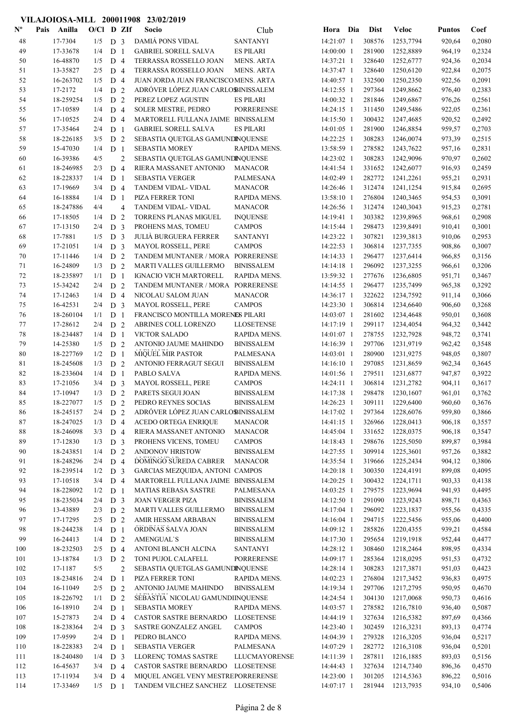| $\mathbf{N}^{\mathbf{o}}$ | Pais<br>Anilla       | $O/Cl$ D ZIf |                                  |                | Socio                                         | Club                                   | Hora Dia                 | <b>Dist</b>      | Veloc                  | <b>Puntos</b>    | Coef             |
|---------------------------|----------------------|--------------|----------------------------------|----------------|-----------------------------------------------|----------------------------------------|--------------------------|------------------|------------------------|------------------|------------------|
| 48                        | 17-7304              | 1/5          | D <sub>3</sub>                   |                | DAMIÁ PONS VIDAL                              | <b>SANTANYI</b>                        | 14:21:07 1               | 308576           | 1253,7794              | 920,64           | 0,2080           |
| 49                        | 17-33678             | 1/4          | D <sub>1</sub>                   |                | <b>GABRIEL SORELL SALVA</b>                   | <b>ES PILARI</b>                       | 14:00:00 1               | 281900           | 1252,8889              | 964,19           | 0,2324           |
| 50                        | 16-48870             | 1/5          | D <sub>4</sub>                   |                | TERRASSA ROSSELLO JOAN                        | <b>MENS. ARTA</b>                      | 14:37:21 1               | 328640           | 1252,6777              | 924,36           | 0,2034           |
| 51                        | 13-35827             | 2/5          | D <sub>4</sub>                   |                | TERRASSA ROSSELLO JOAN                        | <b>MENS. ARTA</b>                      | 14:37:47 1               | 328640           | 1250,6120              | 922,84           | 0,2075           |
| 52                        | 16-263702            | 1/5          | D <sub>4</sub>                   |                | JUAN JORDA JUAN FRANCISCOMENS. ARTA           |                                        | 14:40:57 1               | 332500           | 1250,2350              | 922,56           | 0,2091           |
| 53                        | 17-2172              | 1/4          | D <sub>2</sub>                   |                | ADRÓVER LÓPEZ JUAN CARLOBINISSALEM            |                                        | 14:12:55 1               | 297364           | 1249,8662              | 976,40           | 0,2383           |
| 54                        | 18-259254            | 1/5          | D <sub>2</sub>                   |                | PEREZ LOPEZ AGUSTIN                           | <b>ES PILARI</b>                       | 14:00:32 1               | 281846           | 1249,6867              | 976,26           | 0,2561           |
| 55                        | 17-10589             | 1/4          | D <sub>4</sub>                   |                | <b>SOLER MESTRE, PEDRO</b>                    | <b>PORRERENSE</b>                      | 14:24:15 1               | 311450           | 1249,5486              | 922,05           | 0,2361           |
| 56                        | 17-10525             | 2/4          | D <sub>4</sub>                   |                | MARTORELL FULLANA JAIME BINISSALEM            |                                        | 14:15:50 1               | 300432           | 1247,4685              | 920,52           | 0,2492           |
| 57                        | 17-35464             | 2/4          | D <sub>1</sub>                   |                | <b>GABRIEL SORELL SALVA</b>                   | <b>ES PILARI</b>                       | $14:01:05$ 1             | 281900           | 1246,8854              | 959,57           | 0,2703           |
| 58                        | 18-226185            | 3/5          | D <sub>2</sub>                   |                | SEBASTIA QUETGLAS GAMUNDINQUENSE              |                                        | 14:22:25 1               | 308283           | 1246,0074              | 973,39           | 0,2515           |
| 59                        | 15-47030             | 1/4          | D <sub>1</sub>                   |                | <b>SEBASTIA MOREY</b>                         | RAPIDA MENS.                           | 13:58:59 1               | 278582           | 1243,7622              | 957,16           | 0,2831           |
| 60                        | 16-39386             | 4/5          |                                  | $\overline{2}$ | SEBASTIA QUETGLAS GAMUNDINQUENSE              |                                        | 14:23:02 1               | 308283           | 1242,9096              | 970,97           | 0,2602           |
| 61                        | 18-246985            | 2/3          | D <sub>4</sub>                   |                | RIERA MASSANET ANTONIO                        | <b>MANACOR</b>                         | 14:41:54 1               | 331652           | 1242,6077              | 916,93           | 0,2459           |
| 62                        | 18-228337            | 1/4          | D <sub>1</sub>                   |                | <b>SEBASTIA VERGER</b>                        | PALMESANA                              | 14:02:49 1               | 282772           | 1241,2261              | 955,21           | 0,2931           |
| 63                        | 17-19669             | 3/4          | D <sub>4</sub>                   |                | TANDEM VIDAL- VIDAL                           | <b>MANACOR</b>                         | 14:26:46 1               | 312474           | 1241,1254              | 915,84           | 0,2695           |
| 64                        | 16-18884             | 1/4          | D <sub>1</sub>                   |                | PIZA FERRER TONI                              | RAPIDA MENS.                           | 13:58:10 1               | 276804           | 1240,3465              | 954,53           | 0,3091           |
| 65                        | 18-247886            | 4/4          |                                  | $\overline{4}$ | TANDEM VIDAL- VIDAL                           | <b>MANACOR</b>                         | 14:26:56 1               | 312474           | 1240,3043              | 915,23           | 0,2781           |
| 66                        | 17-18505             | 1/4          | D <sub>2</sub>                   |                | TORRENS PLANAS MIGUEL                         | <b>INQUENSE</b>                        | 14:19:41 1               | 303382           | 1239,8965              | 968,61           | 0,2908           |
| 67                        | 17-13150             | 2/4          | D <sub>3</sub>                   |                | PROHENS MAS, TOMEU                            | <b>CAMPOS</b>                          | 14:15:44 1               | 298473           | 1239,8491              | 910,41           | 0,3001           |
| 68                        | 17-7881              | 1/5          | D <sub>3</sub>                   |                | <b>JULIA BURGUERA FERRER</b>                  | <b>SANTANYI</b>                        | 14:23:22 1               | 307821           | 1239,3813              | 910,06           | 0,2953           |
| 69                        | 17-21051             | 1/4          | D <sub>3</sub>                   |                | MAYOL ROSSELL, PERE                           | <b>CAMPOS</b>                          | 14:22:53 1               | 306814           | 1237,7355              | 908,86           | 0,3007           |
| 70                        | 17-11446             | 1/4          | D <sub>2</sub>                   |                | TANDEM MUNTANER / MORA PORRERENSE             |                                        | 14:14:33 1               | 296477           | 1237,6414              | 966,85           | 0,3156           |
| 71                        | 16-24809             | 1/3          | D <sub>2</sub>                   |                | MARTI VALLES GUILLERMO                        | <b>BINISSALEM</b>                      | 14:14:18 1               | 296092           | 1237,3255              | 966,61           | 0,3206           |
| 72                        | 18-235897            | 1/1          | D <sub>1</sub>                   |                | <b>IGNACIO VICH MARTORELL</b>                 | RAPIDA MENS.                           | 13:59:32 1               | 277676           | 1236,6805              | 951,71           | 0,3467           |
| 73                        | 15-34242             | 2/4          | D <sub>2</sub>                   |                | TANDEM MUNTANER / MORA PORRERENSE             |                                        | 14:14:55 1               | 296477           | 1235,7499              | 965,38           | 0,3292           |
| 74                        | 17-12463             | 1/4          | D <sub>4</sub>                   |                | NICOLAU SALOM JUAN                            | <b>MANACOR</b>                         | 14:36:17 1               | 322622           | 1234,7592              | 911,14           | 0,3066           |
| 75                        | 16-42531             | 2/4          | D <sub>3</sub>                   |                | <b>MAYOL ROSSELL, PERE</b>                    | <b>CAMPOS</b>                          | 14:23:30 1               | 306814           | 1234,6640              | 906,60           | 0,3268           |
| 76                        | 18-260104            | 1/1          | D <sub>1</sub>                   |                | FRANCISCO MONTILLA MORENES PILARI             |                                        | 14:03:07 1               | 281602           | 1234,4648              | 950,01           | 0,3608           |
| 77                        | 17-28612             | 2/4          | D <sub>2</sub>                   |                | ABRINES COLL LORENZO                          | <b>LLOSETENSE</b>                      | 14:17:19 1               | 299117           | 1234,4054              | 964,32           | 0,3442           |
| 78                        | 18-234487            | 1/4          | D <sub>1</sub>                   |                | <b>VICTOR SALADO</b>                          | RAPIDA MENS.                           | 14:01:07 1               | 278755           | 1232,7928              | 948,72           | 0,3741           |
| 79                        | 14-25380             | 1/5          | D <sub>2</sub>                   |                | ANTONIO JAUME MAHINDO                         | <b>BINISSALEM</b>                      | 14:16:39 1               | 297706           | 1231,9719              | 962,42           | 0,3548           |
| 80                        | 18-227769            | 1/2          | D <sub>1</sub>                   |                | <b>MIQUEL MIR PASTOR</b>                      | PALMESANA                              | 14:03:01 1               | 280900           | 1231,9275              | 948,05           | 0,3807           |
| 81                        | 18-245608            | 1/3          | D <sub>2</sub>                   |                | <b>ANTONIO FERRAGUT SEGUI</b>                 | <b>BINISSALEM</b>                      | $14:16:10$ 1             | 297085           | 1231,8659              | 962,34           | 0,3645           |
| 82                        | 18-233604            | 1/4          | D <sub>1</sub>                   |                | PABLO SALVA                                   | RAPIDA MENS.                           | 14:01:56 1               | 279511           | 1231,6877              | 947,87           | 0,3922           |
| 83                        | 17-21056             | 3/4          | D <sub>3</sub>                   |                | <b>MAYOL ROSSELL, PERE</b>                    | <b>CAMPOS</b>                          | 14:24:11 1               | 306814           | 1231,2782              | 904,11           | 0,3617           |
| 84                        | 17-10947             | 1/3          | D <sub>2</sub>                   |                | PARETS SEGUI JOAN                             | <b>BINISSALEM</b>                      | 14:17:38 1               | 298478           | 1230,1607              | 961,01           | 0,3762           |
| 85                        | 18-227077            | $1/5$ D 2    |                                  |                | PEDRO REYNES SOCIAS                           | <b>BINISSALEM</b>                      | 14:26:23 1               | 309111           | 1229,6400              | 960,60           | 0,3676           |
| 86                        | 18-245157            | $2/4$ D 2    |                                  |                | ADRÓVER LÓPEZ JUAN CARLOBINISSALEM            |                                        | 14:17:02 1               | 297364           | 1228,6076              | 959,80           | 0,3866           |
| 87                        | 18-247025            | 1/3          | D <sub>4</sub>                   |                | ACEDO ORTEGA ENRIQUE                          | <b>MANACOR</b>                         | 14:41:15 1               | 326966           | 1228,0413              | 906,18           | 0,3557           |
| $\bf 88$                  | 18-246098            | 3/3          | D <sub>4</sub>                   |                | RIERA MASSANET ANTONIO                        | <b>MANACOR</b>                         | 14:45:04 1               | 331652           | 1228,0375              | 906,18           | 0,3547           |
| 89                        | 17-12830             | 1/3          | D <sub>3</sub>                   |                | PROHENS VICENS, TOMEU                         | <b>CAMPOS</b>                          | 14:18:43 1               | 298676           | 1225,5050              | 899,87           | 0,3984           |
| 90                        | 18-243851            | 1/4          | D <sub>2</sub>                   |                | ANDONOV HRISTOW                               | <b>BINISSALEM</b>                      | 14:27:55 1               | 309914           | 1225,3601              | 957,26           | 0,3882           |
| 91                        | 18-248296            | 2/4          | D 4                              |                | DOMINGO SUREDA CABRER                         | <b>MANACOR</b>                         | 14:35:54 1               | 319666           | 1225,2434              | 904,12           | 0,3806           |
| 92                        | 18-239514            | 1/2          | D <sub>3</sub>                   |                | GARCIAS MEZQUIDA, ANTONI CAMPOS               |                                        | 14:20:18 1               | 300350           | 1224,4191              | 899,08           | 0,4095           |
| 93                        | 17-10518             | 3/4          | D <sub>4</sub>                   |                | MARTORELL FULLANA JAIME BINISSALEM            |                                        | 14:20:25 1               | 300432           | 1224,1711              | 903,33           | 0,4138           |
| 94                        | 18-228092            | 1/2          | D <sub>1</sub>                   |                | MATIAS REBASA SASTRE                          | PALMESANA                              | 14:03:25 1               | 279575           | 1223,9694              | 941,93           | 0,4495           |
| 95                        | 18-235034            | 2/4          | D <sub>3</sub>                   |                | <b>JOAN VERGER PIZA</b>                       | <b>BINISSALEM</b>                      | 14:12:50 1               | 291090           | 1223,9243              | 898,71           | 0,4363           |
| 96<br>97                  | 13-43889<br>17-17295 | 2/3          | D 2                              |                | MARTI VALLES GUILLERMO<br>AMIR HESSAM ARBABAN | <b>BINISSALEM</b><br><b>BINISSALEM</b> | 14:17:04 1<br>14:16:04 1 | 296092<br>294715 | 1223,1837              | 955,56           | 0,4335           |
| 98                        | 18-244238            | 2/5<br>1/4   | D <sub>2</sub>                   |                | ORDINAS SALVA JOAN                            | <b>BINISSALEM</b>                      | 14:09:12 1               | 285826           | 1222,5456<br>1220,4355 | 955,06           | 0,4400           |
| 99                        | 16-24413             | 1/4          | D <sub>1</sub><br>D <sub>2</sub> |                | <b>AMENGUAL'S</b>                             | <b>BINISSALEM</b>                      | 14:17:30 1               | 295654           | 1219,1918              | 939,21<br>952,44 | 0,4584<br>0,4477 |
| 100                       | 18-232503            | 2/5          | D <sub>4</sub>                   |                | ANTONI BLANCH ALCINA                          | <b>SANTANYI</b>                        | 14:28:12 1               | 308460           | 1218,2464              | 898,95           | 0,4334           |
| 101                       | 13-18784             | 1/3          | D <sub>2</sub>                   |                | TONI PUJOL CALAFELL                           | <b>PORRERENSE</b>                      | 14:09:17 1               | 285364           | 1218,0295              | 951,53           | 0,4732           |
| 102                       | 17-1187              | 5/5          |                                  | $\overline{c}$ | SEBASTIA QUETGLAS GAMUNDINQUENSE              |                                        | 14:28:14 1               | 308283           | 1217,3871              | 951,03           | 0,4423           |
| 103                       | 18-234816            | 2/4          | D <sub>1</sub>                   |                | PIZA FERRER TONI                              | RAPIDA MENS.                           | 14:02:23 1               | 276804           | 1217,3452              | 936,83           | 0,4975           |
| 104                       | 16-11049             | 2/5          | D <sub>2</sub>                   |                | ANTONIO JAUME MAHINDO                         | <b>BINISSALEM</b>                      | 14:19:34 1               | 297706           | 1217,2795              | 950,95           | 0,4670           |
| 105                       | 18-226792            | 1/1          | D <sub>2</sub>                   |                | SEBASTIA NICOLAU GAMUNDIINQUENSE              |                                        | 14:24:54 1               | 304130           | 1217,0068              | 950,73           | 0,4616           |
| 106                       | 16-18910             | 2/4          | D <sub>1</sub>                   |                | <b>SEBASTIA MOREY</b>                         | RAPIDA MENS.                           | 14:03:57 1               | 278582           | 1216,7810              | 936,40           | 0,5087           |
| 107                       | 15-27873             | 2/4          | D <sub>4</sub>                   |                | CASTOR SASTRE BERNARDO                        | <b>LLOSETENSE</b>                      | 14:44:19 1               | 327634           | 1216,5382              | 897,69           | 0,4366           |
| 108                       | 18-238364            | 2/4          | D <sub>3</sub>                   |                | SASTRE GONZALEZ ANGEL                         | <b>CAMPOS</b>                          | 14:23:40 1               | 302459           | 1216,3231              | 893,13           | 0,4774           |
| 109                       | 17-9599              | 2/4          | D <sub>1</sub>                   |                | PEDRO BLANCO                                  | RAPIDA MENS.                           | 14:04:39 1               | 279328           | 1216,3205              | 936,04           | 0,5217           |
| 110                       | 18-228383            | 2/4          | D <sub>1</sub>                   |                | <b>SEBASTIA VERGER</b>                        | PALMESANA                              | 14:07:29 1               | 282772           | 1216,3108              | 936,04           | 0,5201           |
| 111                       | 18-240480            | 1/4          | D <sub>3</sub>                   |                | LLORENÇ TOMAS SASTRE                          | <b>LLUCMAYORENSE</b>                   | 14:11:39 1               | 287811           | 1216,1885              | 893,03           | 0,5156           |
| 112                       | 16-45637             | 3/4          | D <sub>4</sub>                   |                | CASTOR SASTRE BERNARDO LLOSETENSE             |                                        | 14:44:43 1               | 327634           | 1214,7340              | 896,36           | 0,4570           |
| 113                       | 17-11934             | 3/4          | D <sub>4</sub>                   |                | MIQUEL ANGEL VENY MESTREPORRERENSE            |                                        | 14:23:00 1               | 301205           | 1214,5363              | 896,22           | 0,5016           |
| 114                       | 17-33469             | $1/5$ D 1    |                                  |                | TANDEM VILCHEZ SANCHEZ LLOSETENSE             |                                        | 14:07:17 1               | 281944           | 1213,7935              | 934,10           | 0,5406           |
|                           |                      |              |                                  |                |                                               |                                        |                          |                  |                        |                  |                  |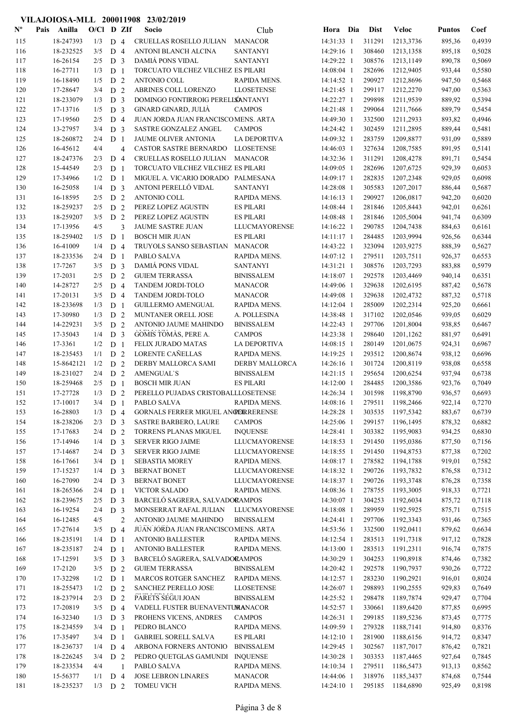#### Nº Pais Anilla O/Cl D ZIf Socio Club Hora Dia Dist Veloc Pais Anilla Socio O/Cl D ZIf Puntos Coef Club Dist 115 18-247393 1/3 D 4 CRUELLAS ROSELLO JULIAN MANACOR 14:31:33 1 311291 1213,3736 895,36 0,4939 116 18-232525 3/5 D 4 ANTONI BLANCH ALCINA SANTANYI 14:29:16 1 308460 1213,1358 895,18 0,5028<br>117 16-26154 2/5 D 3 DAMIÁPONS-VIDAL SANTANYI 14:29:22 1 308576 1213,1149 890,78 0,5069 117 16-26154 2/5 D 3 DAMIÁ PONS VIDAL SANTANYI 14:29:22 1 308576 1213,1149 890,78 0,5069 118 16-27711 1/3 D 1 TORCUATO VILCHEZ VILCHEZ ES PILARI 14:08:04 1 282696 1212,9405 933,44 0,5580 119 16-18490 1/5 D 2 ANTONIO COLL RAPIDA MENS. 14:14:52 1 290927 1212,8696 947,50 0,5468 120 17-28647 3/4 D 2 ABRINES COLL LORENZO LLOSETENSE 14:21:45 1 299117 1212,2270 947,00 0,5363 121 18-233079 1/3 D 3 DOMINGO FONTIRROIG PERELLSÁNTANYI 14:22:27 1 299898 1211,9539 889,92 0,5394 122 17-13716 1/5 D 3 GINARD GINARD, JULIÀ CAMPOS 14:21:48 1 299064 1211,7666 889,79 0,5454 123 123 17-19560 2/5 D 4 JUAN JORDA JUAN FRANCISCOMENS. ARTA 14:49:30 1 332500 1211,2933 893,82 0,4946 124 SASTRE GONZALEZ ANGEL 13-27957 14:24:42 1 302459 3/4 D 3 CAMPOS 1211,2895 889,44 0,5481 125 18-260872 2/4 D 1 JAUME OLIVER ANTONIA LA DEPORTIVA 14:09:32 1 283759 1209,8877 931,09 0,5889 126 16-45612 4/4 4 CASTOR SASTRE BERNARDO LLOSETENSE 14:46:03 1 327634 1208,7585 891,95 0,5141 127 18-247376 2/3 D 4 CRUELLAS ROSELLO JULIAN MANACOR 14:32:36 1 311291 1208,4278 891,71 0,5454 128 15-44549 2/3 D 1 TORCUATO VILCHEZ VILCHEZ ES PILARI 14:09:05 1 282696 1207,6725 929,39 0,6053 129 17-34966 1/2 D 1 MIGUEL A. VICARIO DORADO PALMESANA 14:09:17 1 282835 1207,2348 929,05 0,6098 130 16-25058 1/4 **D** 3 ANTONI PERELLÓ VIDAL SANTANYI 14:28:08 1 305583 1207,2017 886,44 0,5687 131 16-18595 2/5 D 2 ANTONIO COLL RAPIDA MENS. 14:16:13 1 290927 1206,0817 942,20 0,6020 132 18-259237 2/5 D 2 PEREZ LOPEZ AGUSTIN ES PILARI 14:08:44 1 281846 1205,8443 942,01 0,6261 133 13259207 3/5 D 2 PEREZ LOPEZ AGUSTIN ES PILARI 14:08:48 1 281846 1205,5004 941,74 0,6309 134 17-13956 4/5 3 JAUME SASTRE JUAN LLUCMAYORENSE 14:16:22 1 290785 1204,7438 884,63 0,6161 135 18-259402 1/5 D 1 BOSCH MIR JUAN ES PILARI 14:11:17 1 284485 1203,9994 926,56 0,6344 136 16-41009 1/4 D 4 TRUYOLS SANSO SEBASTIAN MANACOR 14:43:22 1 323094 1203,9275 888,39 0,5627 137 18-233536 2/4 D 1 PABLO SALVA RAPIDA MENS. 14:07:12 1 279511 1203,7511 926,37 0,6553 138 17-7267 3/5 D 3 DAMIÁ PONS VIDAL SANTANYI 14:31:21 1 308576 1203,7293 883,88 0,5979 139 17-2031 2/5 D 2 GUIEM TERRASSA BINISSALEM 14:18:07 1 292578 1203,4469 940,14 0,6351 140 14-28727 2/5 D 4 TANDEM JORDI-TOLO MANACOR 14:49:06 1 329638 1202,6195 887,42 0,5678 141 17-20131 3/5 D 4 TANDEM JORDI-TOLO MANACOR 14:49:08 1 329638 1202,4732 887,32 0,5718 142 18-233698 1/3 D 1 GUILLERMO AMENGUAL RAPIDA MENS. 14:12:04 1 285009 1202,2314 925,20 0,6661 143 17-30980 1/3 D 2 MUNTANER ORELL JOSE A. POLLESINA 14:38:48 1 317102 1202,0546 939,05 0,6029 144 14-229231 3/5 D 2 ANTONIO JAUME MAHINDO BINISSALEM 14:22:43 1 297706 1201,8004 938,85 0,6467 145 17-35043 1/4 D 3 GOMIS TOMÀS, PERE A. CAMPOS 14:23:38 1 298640 1201,1262 881,97 0,6491 146 17-3361 1/2 D 1 FELIX JURADO MATAS LA DEPORTIVA 14:08:15 1 280149 1201,0675 924,31 0,6967 147 18-235453 1/1 D 2 LORENTE CAÑELLAS RAPIDA MENS. 14:19:25 1 293512 1200,8674 938,12 0,6696 148 15-8642121 1/2 D 2 DERBY MALLORCA SAMI DERBY MALLORCA 14:26:16 1 301724 1200,8119 938,08 0,6558 149 18-231027 2/4 D 2 AMENGUAL`S BINISSALEM 14:21:15 1 295654 1200,6254 937,94 0,6738 150 18-259468 2/5 D 1 BOSCH MIR JUAN ES PILARI 14:12:00 1 284485 1200,3586 923,76 0,7049 151 17-27728 1/3 D 2 PERELLO PUJADAS CRISTOBALLLOSETENSE 14:26:34 1 301598 1198,8790 936,57 0,6693 152 17-10017 3/4 D 1 PABLO SALVA RAPIDA MENS. 14:08:16 1 279511 1198,2466 922,14 0,7270 153 16-28803 1/3 D 4 GORNALS FERRER MIGUEL ANGERERENSE 14:28:28 1 303535 1197,5342 883,67 0,6739 154 18-238206 2/3 D 3 SASTRE BARBERO, LAURE CAMPOS 14:25:06 1 299157 1196,1495 878,32 0,6882 155 17-17683 2/4 D 2 TORRENS PLANAS MIGUEL INQUENSE 14:28:41 1 303382 1195,9083 934,25 0,6830<br>156 17-14946 1/4 D 3 SERVER RIGO JAIME LLUCMAYORENSE 14:18:53 1 291450 1195.0386 877.50 0.7156 156 17-14946 1/4 D 3 SERVER RIGO JAIME LLUCMAYORENSE 14:18:53 1 291450 1195,0386 877,50 0,7156 157 17-14687 2/4 D 3 SERVER RIGO JAIME LLUCMAYORENSE 14:18:55 1 291450 1194,8753 877,38 0,7202 158 16-17661 3/4 D 1 SEBASTIA MOREY RAPIDA MENS. 14:08:17 1 278582 1194,1788 919,01 0,7582 159 17-15237 1/4 D 3 BERNAT BONET LLUCMAYORENSE 14:18:32 1 290726 1193,7832 876,58 0,7312 160 16-27090 2/4 D 3 BERNAT BONET LLUCMAYORENSE 14:18:37 1 290726 1193,3748 876,28 0,7358 161 18-265366 2/4 D 1 VICTOR SALADO RAPIDA MENS. 14:08:36 1 278755 1193,3005 918,33 0,7721 162 18-239675 2/5 D 3 BARCELÓ SAGRERA, SALVADORAMPOS 14:30:07 1 304253 1192,6034 875,72 0,7118 163 16-19254 2/4 D 3 MONSERRAT RAFAL JULIAN LLUCMAYORENSE 14:18:08 1 289959 1192,5925 875,71 0,7515 164 16-12485 4/5 2 ANTONIO JAUME MAHINDO BINISSALEM 14:24:41 1 297706 1192,3343 931,46 0,7365 165 17-27614 3/5 D 4 JUAN JORDA JUAN FRANCISCOMENS. ARTA 14:53:56 1 332500 1192,0411 879,62 0,6634 166 18-235191 1/4 D 1 ANTONIO BALLESTER RAPIDA MENS. 14:12:54 1 283513 1191,7318 917,12 0,7828 167 18-235187 2/4 D 1 ANTONIO BALLESTER RAPIDA MENS. 14:13:00 1 283513 1191,2311 916,74 0,7875 168 17-12591 3/5 D 3 BARCELÓ SAGRERA, SALVADORAMPOS 14:30:29 1 304253 1190,8918 874,46 0,7382 169 17-2120 3/5 D 2 GUIEM TERRASSA BINISSALEM 14:20:42 1 292578 1190,7937 930,26 0,7722 170 17-32298 1/2 D 1 MARCOS ROTGER SANCHEZ RAPIDA MENS. 14:12:57 1 283230 1190,2921 916,01 0,8024 171 18-255473 1/2 D 2 SANCHEZ PERELLO JOSE LLOSETENSE 14:26:07 1 298893 1190,2555 929,83 0,7649 172 18-237914 2/3 D 2 PARETS SEGUI JOAN BINISSALEM 14:25:52 1 298478 1189,7874 929,47 0,7704 173 17-20819 3/5 D 4 VADELL FUSTER BUENAVENTURANACOR 14:52:57 1 330661 1189,6420 877,85 0,6995 174 16-32340 1/3 D 3 PROHENS VICENS, ANDRES CAMPOS 14:26:31 1 299185 1189,5236 873,45 0,7775 175 18-234559 3/4 D 1 PEDRO BLANCO RAPIDA MENS. 14:09:59 1 279328 1188,7141 914,80 0,8376 176 17-35497 3/4 D 1 GABRIEL SORELL SALVA ES PILARI 14:12:10 1 281900 1188,6156 914,72 0,8347<br>177 18-236737 1/4 D 4 ARBONA-FORNERS ANTONIO BINISSALEM 14:29:45 1 302567 1187.7017 876.42 0.7821 18-236737 1/4 D 4 ARBONA FORNERS ANTONIO BINISSALEM 14:29:45 1 302567 1187,7017 876,42 0,7821 178 18-226245 3/4 D 2 PEDRO QUETGLAS GAMUNDI INQUENSE 14:30:28 1 303353 1187,4465 927,64 0,7845 179 18-233534 4/4 1 PABLO SALVA RAPIDA MENS. 14:10:34 1 279511 1186,5473 913,13 0,8562

VILAJOIOSA-MLL 200011908 23/02/2019

180 15-56377 1/1 D 4 JOSE LEBRON LINARES MANACOR 14:44:06 1 318976 1185,3437 874,68 0,7544 181 18-235237 1/3 D 2 TOMEU VICH RAPIDA MENS. 14:24:10 1 295185 1184,6890 925,49 0,8198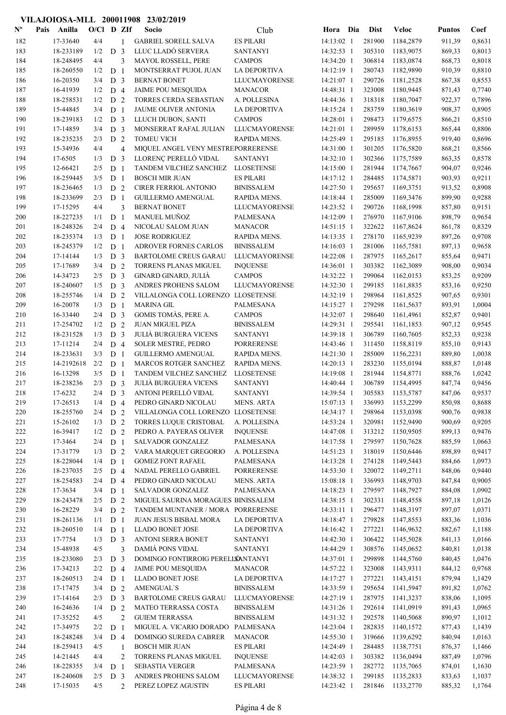| $\mathbf{N}^{\mathbf{o}}$ | Pais | Anilla     | $O/C1$ D ZIf |                |                | Socio                              | Club                 | Hora Dia     | <b>Dist</b> | Veloc     | <b>Puntos</b> | Coef   |
|---------------------------|------|------------|--------------|----------------|----------------|------------------------------------|----------------------|--------------|-------------|-----------|---------------|--------|
| 182                       |      | 17-33640   | 4/4          |                | 1              | <b>GABRIEL SORELL SALVA</b>        | <b>ES PILARI</b>     | 14:13:02 1   | 281900      | 1184,2879 | 911,39        | 0,8631 |
| 183                       |      | 18-233189  | 1/2          | D <sub>3</sub> |                | LLUC LLADÓ SERVERA                 | <b>SANTANYI</b>      | 14:32:53 1   | 305310      | 1183,9075 | 869,33        | 0,8013 |
| 184                       |      | 18-248495  | 4/4          |                | 3              | MAYOL ROSSELL, PERE                | <b>CAMPOS</b>        | 14:34:20 1   | 306814      | 1183,0874 | 868,73        | 0,8018 |
| 185                       |      | 18-260550  | 1/2          | D <sub>1</sub> |                | MONTSERRAT PUJOL JUAN              | <b>LA DEPORTIVA</b>  | 14:12:19 1   | 280743      | 1182,9890 | 910,39        | 0,8810 |
| 186                       |      | 16-20350   | 3/4          | D <sub>3</sub> |                | <b>BERNAT BONET</b>                | <b>LLUCMAYORENSE</b> | 14:21:07 1   | 290726      | 1181,2528 | 867,38        | 0,8553 |
| 187                       |      | 16-41939   | 1/2          | D <sub>4</sub> |                | <b>JAIME POU MESQUIDA</b>          | <b>MANACOR</b>       | 14:48:31 1   | 323008      | 1180,9445 | 871,43        | 0,7740 |
| 188                       |      | 18-258531  | 1/2          | D <sub>2</sub> |                | TORRES CERDA SEBASTIAN             | A. POLLESINA         | 14:44:36 1   | 318318      | 1180,7047 | 922,37        | 0,7896 |
| 189                       |      | 15-44845   | 3/4          | D <sub>1</sub> |                | JAUME OLIVER ANTONIA               | <b>LA DEPORTIVA</b>  | 14:15:24 1   | 283759      | 1180,3619 | 908,37        | 0,8905 |
| 190                       |      | 18-239183  | 1/2          | D <sub>3</sub> |                | LLUCH DUBON, SANTI                 | <b>CAMPOS</b>        | 14:28:01 1   | 298473      | 1179,6575 | 866,21        | 0,8510 |
| 191                       |      | 17-14859   | 3/4          | D <sub>3</sub> |                | MONSERRAT RAFAL JULIAN             | <b>LLUCMAYORENSE</b> | 14:21:01 1   | 289959      | 1178,6153 | 865,44        | 0,8806 |
| 192                       |      | 18-235235  | 2/3          | D <sub>2</sub> |                | <b>TOMEU VICH</b>                  | RAPIDA MENS.         | 14:25:49 1   | 295185      | 1176,8955 | 919,40        | 0,8696 |
| 193                       |      | 15-34936   | 4/4          |                | $\overline{4}$ | MIQUEL ANGEL VENY MESTREPORRERENSE |                      | 14:31:00 1   | 301205      | 1176,5820 | 868,21        | 0,8566 |
| 194                       |      | 17-6505    | 1/3          | D <sub>3</sub> |                | LLORENÇ PERELLÓ VIDAL              | <b>SANTANYI</b>      | 14:32:10 1   | 302366      | 1175,7589 | 863,35        | 0,8578 |
| 195                       |      | 12-66421   | 2/5          | D <sub>1</sub> |                | TANDEM VILCHEZ SANCHEZ             | <b>LLOSETENSE</b>    | 14:15:00 1   | 281944      | 1174,7667 | 904,07        | 0,9246 |
| 196                       |      | 18-259445  | 3/5          | D <sub>1</sub> |                | <b>BOSCH MIR JUAN</b>              | <b>ES PILARI</b>     | 14:17:12 1   | 284485      | 1174,5871 | 903,93        | 0,9211 |
| 197                       |      | 18-236465  | 1/3          | D <sub>2</sub> |                | <b>CIRER FERRIOL ANTONIO</b>       | <b>BINISSALEM</b>    | 14:27:50 1   | 295657      | 1169,3751 | 913,52        | 0,8908 |
| 198                       |      | 18-233699  | 2/3          | D <sub>1</sub> |                | <b>GUILLERMO AMENGUAL</b>          | RAPIDA MENS.         | 14:18:44 1   | 285009      | 1169,3476 | 899,90        | 0,9288 |
| 199                       |      | 17-15295   | 4/4          |                | 3              | <b>BERNAT BONET</b>                | LLUCMAYORENSE        | 14:23:52 1   | 290726      | 1168,1998 | 857,80        | 0,9151 |
| 200                       |      | 18-227235  | 1/1          | D <sub>1</sub> |                | MANUEL MUÑOZ                       | PALMESANA            | 14:12:09 1   | 276970      | 1167,9106 | 898,79        | 0,9654 |
| 201                       |      | 18-248326  | 2/4          | D <sub>4</sub> |                | NICOLAU SALOM JUAN                 | <b>MANACOR</b>       | 14:51:15 1   | 322622      | 1167,8624 | 861,78        | 0,8329 |
| 202                       |      | 18-235374  | 1/3          | D <sub>1</sub> |                | <b>JOSE RODRIGUEZ</b>              | RAPIDA MENS.         | $14:13:35$ 1 | 278170      | 1165,9239 | 897,26        | 0,9708 |
| 203                       |      | 18-245379  | 1/2          | D <sub>1</sub> |                | <b>ADROVER FORNES CARLOS</b>       | <b>BINISSALEM</b>    | 14:16:03 1   | 281006      | 1165,7581 | 897,13        | 0,9658 |
| 204                       |      | 17-14144   | 1/3          | D <sub>3</sub> |                | <b>BARTOLOME CREUS GARAU</b>       | <b>LLUCMAYORENSE</b> | 14:22:08 1   | 287975      | 1165,2617 | 855,64        | 0,9471 |
| 205                       |      | 17-17689   | 3/4          | D <sub>2</sub> |                | TORRENS PLANAS MIGUEL              | <b>INQUENSE</b>      | 14:36:01 1   | 303382      | 1162,3089 | 908,00        | 0,9034 |
| 206                       |      | 14-34723   | 2/5          | D <sub>3</sub> |                | GINARD GINARD, JULIÀ               | <b>CAMPOS</b>        | 14:32:22 1   | 299064      | 1162,0153 | 853,25        | 0,9209 |
| 207                       |      | 18-240607  | 1/5          | D <sub>3</sub> |                | ANDRES PROHENS SALOM               | <b>LLUCMAYORENSE</b> | 14:32:30 1   | 299185      | 1161,8835 | 853,16        | 0,9250 |
| 208                       |      | 18-255746  | 1/4          | D <sub>2</sub> |                | VILLALONGA COLL LORENZO LLOSETENSE |                      | 14:32:19 1   | 298964      | 1161,8525 | 907,65        | 0,9301 |
| 209                       |      | 16-20078   | 1/3          | D <sub>1</sub> |                | <b>MARINA GIL</b>                  | PALMESANA            | 14:15:27 1   | 279298      | 1161,5637 | 893,91        | 1,0004 |
| 210                       |      | 16-33440   | 2/4          | D <sub>3</sub> |                | GOMIS TOMÀS, PERE A.               | <b>CAMPOS</b>        | 14:32:07 1   | 298640      | 1161,4961 | 852,87        | 0,9401 |
| 211                       |      | 17-254702  | 1/2          | D <sub>2</sub> |                | <b>JUAN MIGUEL PIZA</b>            | <b>BINISSALEM</b>    | 14:29:31 1   | 295541      | 1161,1853 | 907,12        | 0,9545 |
| 212                       |      | 18-231528  | 1/3          | D <sub>3</sub> |                | <b>JULIÀ BURGUERA VICENS</b>       | <b>SANTANYI</b>      | 14:39:18 1   | 306789      | 1160,7605 | 852,33        | 0,9238 |
| 213                       |      | 17-11214   | 2/4          | D 4            |                | SOLER MESTRE, PEDRO                | <b>PORRERENSE</b>    | 14:43:46 1   | 311450      | 1158,8119 | 855,10        | 0,9143 |
| 214                       |      | 18-233631  | 3/3          | D <sub>1</sub> |                | <b>GUILLERMO AMENGUAL</b>          | RAPIDA MENS.         | 14:21:30 1   | 285009      | 1156,2231 | 889,80        | 1,0038 |
| 215                       |      | 14-2192618 | 2/2          | D <sub>1</sub> |                | MARCOS ROTGER SANCHEZ              | RAPIDA MENS.         | 14:20:13 1   | 283230      | 1155,0194 | 888,87        | 1,0148 |
| 216                       |      | 16-13298   | 3/5          | D <sub>1</sub> |                | TANDEM VILCHEZ SANCHEZ             | <b>LLOSETENSE</b>    | 14:19:08 1   | 281944      | 1154,8771 | 888,76        | 1,0242 |
| 217                       |      | 18-238236  | 2/3          | D <sub>3</sub> |                | <b>JULIÀ BURGUERA VICENS</b>       | <b>SANTANYI</b>      | 14:40:44 1   | 306789      | 1154,4995 | 847,74        | 0,9456 |
| 218                       |      | 17-6232    | 2/4          | D <sub>3</sub> |                | ANTONI PERELLÓ VIDAL               | <b>SANTANYI</b>      | 14:39:54 1   | 305583      | 1153,5787 | 847,06        | 0,9537 |
| 219                       |      | 17-26513   | $1/4$ D 4    |                |                | PEDRO GINARD NICOLAU               | <b>MENS. ARTA</b>    | 15:07:13 1   | 336993      | 1153,2299 | 850,98        | 0,8688 |
| 220                       |      | 18-255760  | $2/4$ D 2    |                |                | VILLALONGA COLL LORENZO LLOSETENSE |                      | 14:34:17 1   | 298964      | 1153,0398 | 900,76        | 0,9838 |
| 221                       |      | 15-26102   | 1/3          | D 2            |                | TORRES LUQUE CRISTOBAL             | A. POLLESINA         | 14:53:24 1   | 320981      | 1152,9490 | 900,69        | 0,9205 |
| 222                       |      | 16-39417   | 1/2          | D 2            |                | PEDRO A. PAYERAS OLIVER            | <b>INQUENSE</b>      | 14:47:08 1   | 313212      | 1150,9505 | 899,13        | 0,9476 |
| 223                       |      | 17-3464    | 2/4          | D <sub>1</sub> |                | <b>SALVADOR GONZALEZ</b>           | PALMESANA            | 14:17:58 1   | 279597      | 1150,7628 | 885,59        | 1,0663 |
| 224                       |      | 17-31779   | 1/3          | D <sub>2</sub> |                | VARA MARQUET GREGORIO              | A. POLLESINA         | 14:51:23 1   | 318019      | 1150,6446 | 898,89        | 0,9417 |
| 225                       |      | 18-228044  | 1/4          | D <sub>1</sub> |                | <b>GOMEZ FONT RAFAEL</b>           | PALMESANA            | 14:13:28 1   | 274128      | 1149,5443 | 884,66        | 1,0973 |
| 226                       |      | 18-237035  | 2/5          | D <sub>4</sub> |                | NADAL PERELLO GABRIEL              | <b>PORRERENSE</b>    | 14:53:30 1   | 320072      | 1149,2711 | 848,06        | 0,9440 |
| 227                       |      | 18-254583  | 2/4          | D 4            |                | PEDRO GINARD NICOLAU               | <b>MENS. ARTA</b>    | 15:08:18 1   | 336993      | 1148,9703 | 847,84        | 0,9005 |
| 228                       |      | 17-3634    | 3/4          | D <sub>1</sub> |                | <b>SALVADOR GONZALEZ</b>           | PALMESANA            | 14:18:23 1   | 279597      | 1148,7927 | 884,08        | 1,0902 |
| 229                       |      | 18-243478  | 2/5          | D 2            |                | MIGUEL SAURINA MORAGUES BINISSALEM |                      | 14:38:15 1   | 302331      | 1148,4558 | 897,18        | 1,0126 |
| 230                       |      | 16-28229   | 3/4          | D <sub>2</sub> |                | TANDEM MUNTANER / MORA PORRERENSE  |                      | 14:33:11 1   | 296477      | 1148,3197 | 897,07        | 1,0371 |
| 231                       |      | 18-261136  | 1/1          | D <sub>1</sub> |                | JUAN JESUS BISBAL MORA             | LA DEPORTIVA         | 14:18:47 1   | 279828      | 1147,8553 | 883,36        | 1,1036 |
| 232                       |      | 18-260510  | 1/4          | D <sub>1</sub> |                | <b>LLADO BONET JOSE</b>            | LA DEPORTIVA         | 14:16:42 1   | 277221      | 1146,9632 | 882,67        | 1,1188 |
| 233                       |      | 17-7754    | 1/3          | D <sub>3</sub> |                | <b>ANTONI SERRA BONET</b>          | <b>SANTANYI</b>      | 14:42:30 1   | 306422      | 1145,5028 | 841,13        | 1,0166 |
| 234                       |      | 15-48938   | 4/5          |                | 3              | <b>DAMIÁ PONS VIDAL</b>            | <b>SANTANYI</b>      | 14:44:29 1   | 308576      | 1145,0652 | 840,81        | 1,0138 |
| 235                       |      | 18-233080  | 2/3          | D <sub>3</sub> |                | DOMINGO FONTIRROIG PERELLSANTANYI  |                      | 14:37:01 1   | 299898      | 1144,5760 | 840,45        | 1,0476 |
| 236                       |      | 17-34213   | 2/2          | D 4            |                | <b>JAIME POU MESQUIDA</b>          | <b>MANACOR</b>       | 14:57:22 1   | 323008      | 1143,9311 | 844,12        | 0,9768 |
| 237                       |      | 18-260513  | 2/4          | D <sub>1</sub> |                | <b>LLADO BONET JOSE</b>            | LA DEPORTIVA         | 14:17:27 1   | 277221      | 1143,4151 | 879,94        | 1,1429 |
| 238                       |      | 17-17475   | 3/4          | D 2            |                | <b>AMENGUAL'S</b>                  | <b>BINISSALEM</b>    | 14:33:59 1   | 295654      | 1141,5947 | 891,82        | 1,0762 |
| 239                       |      | 17-14164   | 2/3          | D <sub>3</sub> |                | <b>BARTOLOME CREUS GARAU</b>       | LLUCMAYORENSE        | $14:27:19$ 1 | 287975      | 1141,3237 | 838,06        | 1,1095 |
| 240                       |      | 16-24636   | 1/4          | D <sub>2</sub> |                | MATEO TERRASSA COSTA               | <b>BINISSALEM</b>    | 14:31:26 1   | 292614      | 1141,0919 | 891,43        | 1,0965 |
| 241                       |      | 17-35252   | 4/5          |                | $\overline{2}$ | <b>GUIEM TERRASSA</b>              | <b>BINISSALEM</b>    | 14:31:32 1   | 292578      | 1140,5068 | 890,97        | 1,1012 |
| 242                       |      | 17-34975   | 2/2          | D <sub>1</sub> |                | MIGUEL A. VICARIO DORADO PALMESANA |                      | 14:23:04 1   | 282835      | 1140,1572 | 877,43        | 1,1439 |
| 243                       |      | 18-248248  | 3/4          | D <sub>4</sub> |                | DOMINGO SUREDA CABRER              | <b>MANACOR</b>       | 14:55:30 1   | 319666      | 1139,6292 | 840,94        | 1,0163 |
| 244                       |      | 18-259413  | 4/5          |                | 1              | <b>BOSCH MIR JUAN</b>              | <b>ES PILARI</b>     | 14:24:49 1   | 284485      | 1138,7751 | 876,37        | 1,1466 |
| 245                       |      | 14-21445   | 4/4          |                | $\overline{2}$ | TORRENS PLANAS MIGUEL              | <b>INQUENSE</b>      | 14:42:03 1   | 303382      | 1136,0494 | 887,49        | 1,0796 |
| 246                       |      | 18-228355  | 3/4          | D <sub>1</sub> |                | <b>SEBASTIA VERGER</b>             | PALMESANA            | 14:23:59 1   | 282772      | 1135,7065 | 874,01        | 1,1630 |
| 247                       |      | 18-240608  | 2/5          | D <sub>3</sub> |                | ANDRES PROHENS SALOM               | <b>LLUCMAYORENSE</b> | 14:38:32 1   | 299185      | 1135,2833 | 833,63        | 1,1037 |
| 248                       |      | 17-15035   | 4/5          |                | 2              | PEREZ LOPEZ AGUSTIN                | <b>ES PILARI</b>     | 14:23:42 1   | 281846      | 1133,2770 | 885,32        | 1,1764 |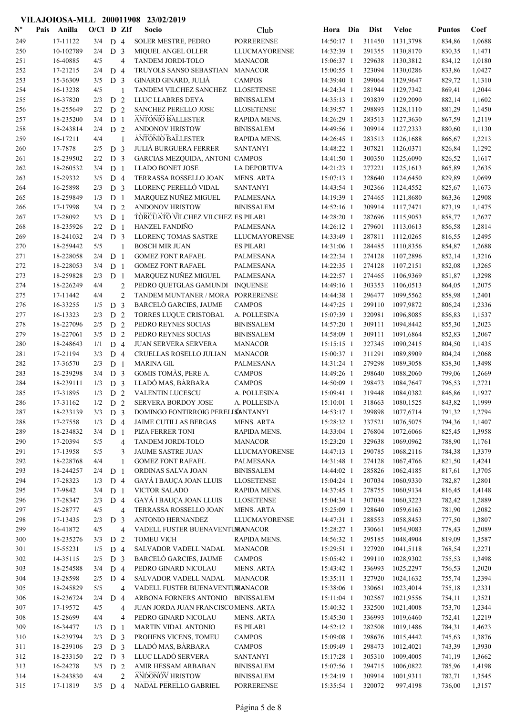| $\mathbf{N}^{\mathbf{o}}$ | Pais | Anilla                | $O/C1$ D ZIf |                                  |                | Socio                                                                    | Club                 | Hora Dia                 | <b>Dist</b>      | <b>Veloc</b>           | <b>Puntos</b>    | Coef             |
|---------------------------|------|-----------------------|--------------|----------------------------------|----------------|--------------------------------------------------------------------------|----------------------|--------------------------|------------------|------------------------|------------------|------------------|
| 249                       |      | 17-11122              | 3/4          | D <sub>4</sub>                   |                | <b>SOLER MESTRE, PEDRO</b>                                               | <b>PORRERENSE</b>    | 14:50:17 1               | 311450           | 1131,3798              | 834,86           | 1,0688           |
| 250                       |      | 10-102789             | 2/4          | D <sub>3</sub>                   |                | MIQUEL ANGEL OLLER                                                       | <b>LLUCMAYORENSE</b> | 14:32:39 1               | 291355           | 1130,8170              | 830,35           | 1,1471           |
| 251                       |      | 16-40885              | 4/5          |                                  | $\overline{4}$ | TANDEM JORDI-TOLO                                                        | <b>MANACOR</b>       | 15:06:37 1               | 329638           | 1130,3812              | 834,12           | 1,0180           |
| 252                       |      | 17-21215              | 2/4          | D <sub>4</sub>                   |                | TRUYOLS SANSO SEBASTIAN                                                  | <b>MANACOR</b>       | 15:00:55 1               | 323094           | 1130,0286              | 833,86           | 1,0427           |
| 253                       |      | 15-36309              | 3/5          | D <sub>3</sub>                   |                | GINARD GINARD, JULIÀ                                                     | <b>CAMPOS</b>        | 14:39:40 1               | 299064           | 1129,9647              | 829,72           | 1,1310           |
| 254                       |      | 16-13238              | 4/5          |                                  | 1              | TANDEM VILCHEZ SANCHEZ                                                   | <b>LLOSETENSE</b>    | 14:24:34 1               | 281944           | 1129,7342              | 869,41           | 1,2044           |
| 255                       |      | 16-37820              | 2/3          | D <sub>2</sub>                   |                | LLUC LLABRES DEYA                                                        | <b>BINISSALEM</b>    | 14:35:13 1               | 293839           | 1129,2090              | 882,14           | 1,1602           |
| 256                       |      | 18-255649             | 2/2          | D <sub>2</sub>                   |                | SANCHEZ PERELLO JOSE                                                     | <b>LLOSETENSE</b>    | 14:39:57 1               | 298893           | 1128,1110              | 881,29           | 1,1450           |
| 257                       |      | 18-235200             | 3/4          | D <sub>1</sub>                   |                | <b>ANTONIO BALLESTER</b>                                                 | RAPIDA MENS.         | 14:26:29 1               | 283513           | 1127,3630              | 867,59           | 1,2119           |
| 258                       |      | 18-243814             | 2/4          | D <sub>2</sub>                   |                | <b>ANDONOV HRISTOW</b>                                                   | <b>BINISSALEM</b>    | 14:49:56 1               | 309914           | 1127,2333              | 880,60           | 1,1130           |
| 259                       |      | 16-17211              | 4/4          |                                  | 1              | <b>ANTONIO BALLESTER</b>                                                 | RAPIDA MENS.         | 14:26:45 1               | 283513           | 1126,1688              | 866,67           | 1,2213           |
| 260                       |      | 17-7878               | 2/5          | D <sub>3</sub>                   |                | <b>JULIÀ BURGUERA FERRER</b>                                             | <b>SANTANYI</b>      | 14:48:22 1               | 307821           | 1126,0371              | 826,84           | 1,1292           |
| 261                       |      | 18-239502             | 2/2          | D <sub>3</sub>                   |                | GARCIAS MEZQUIDA, ANTONI CAMPOS                                          |                      | 14:41:50 1               | 300350           | 1125,6090              | 826,52           | 1,1617           |
| 262                       |      | 18-260532             | 3/4          | D <sub>1</sub>                   |                | <b>LLADO BONET JOSE</b>                                                  | <b>LA DEPORTIVA</b>  | 14:21:23 1               | 277221           | 1125,1613              | 865,89           | 1,2635           |
| 263                       |      | 15-29332              | 3/5          | D <sub>4</sub>                   |                | TERRASSA ROSSELLO JOAN                                                   | <b>MENS. ARTA</b>    | 15:07:13 1               | 328640           | 1124,6450              | 829,89           | 1,0699           |
| 264                       |      | 16-25898              | 2/3          | D <sub>3</sub>                   |                | LLORENÇ PERELLÓ VIDAL                                                    | <b>SANTANYI</b>      | 14:43:54 1               | 302366           | 1124,4552              | 825,67           | 1,1673           |
| 265                       |      | 18-259849             | 1/3          | D <sub>1</sub>                   |                | MARQUEZ NUÑEZ MIGUEL                                                     | <b>PALMESANA</b>     | 14:19:39 1               | 274465           | 1121,8680              | 863,36           | 1,2908           |
| 266                       |      | 17-17998              | 3/4          | D <sub>2</sub>                   |                | ANDONOV HRISTOW                                                          | <b>BINISSALEM</b>    | 14:52:16 1               | 309914           | 1117,7471              | 873,19           | 1,1475           |
| 267<br>268                |      | 17-28092<br>18-235926 | 3/3<br>2/2   | D <sub>1</sub><br>D <sub>1</sub> |                | TORCUATO VILCHEZ VILCHEZ ES PILARI<br><b>HANZEL FANDIÑO</b>              | <b>PALMESANA</b>     | 14:28:20 1<br>14:26:12 1 | 282696<br>279601 | 1115,9053              | 858,77           | 1,2627<br>1,2814 |
| 269                       |      | 18-241032             | 2/4          | D <sub>3</sub>                   |                | LLORENÇ TOMAS SASTRE                                                     | <b>LLUCMAYORENSE</b> | 14:33:49 1               | 287811           | 1113,0613<br>1112,0265 | 856,58<br>816,55 | 1,2495           |
| 270                       |      | 18-259442             | 5/5          |                                  | 1              | <b>BOSCH MIR JUAN</b>                                                    | <b>ES PILARI</b>     | 14:31:06 1               | 284485           | 1110,8356              | 854,87           | 1,2688           |
| 271                       |      | 18-228058             | 2/4          | D <sub>1</sub>                   |                | <b>GOMEZ FONT RAFAEL</b>                                                 | PALMESANA            | 14:22:34 1               | 274128           | 1107,2896              | 852,14           | 1,3216           |
| 272                       |      | 18-228053             | 3/4          | D <sub>1</sub>                   |                | <b>GOMEZ FONT RAFAEL</b>                                                 | PALMESANA            | 14:22:35 1               | 274128           | 1107,2151              | 852,08           | 1,3265           |
| 273                       |      | 18-259828             | 2/3          | D <sub>1</sub>                   |                | MARQUEZ NUÑEZ MIGUEL                                                     | PALMESANA            | 14:22:57 1               | 274465           | 1106,9369              | 851,87           | 1,3298           |
| 274                       |      | 18-226249             | 4/4          |                                  | $\overline{2}$ | PEDRO QUETGLAS GAMUNDI                                                   | <b>INQUENSE</b>      | 14:49:16 1               | 303353           | 1106,0513              | 864,05           | 1,2075           |
| 275                       |      | 17-11442              | 4/4          |                                  | $\overline{2}$ | TANDEM MUNTANER / MORA PORRERENSE                                        |                      | 14:44:38 1               | 296477           | 1099,5562              | 858,98           | 1,2401           |
| 276                       |      | 16-33255              | 1/5          | D <sub>3</sub>                   |                | BARCELÓ GARCIES, JAUME                                                   | <b>CAMPOS</b>        | 14:47:25 1               | 299110           | 1097,9872              | 806,24           | 1,2336           |
| 277                       |      | 16-13323              | 2/3          | D <sub>2</sub>                   |                | TORRES LUQUE CRISTOBAL                                                   | A. POLLESINA         | 15:07:39 1               | 320981           | 1096,8085              | 856,83           | 1,1537           |
| 278                       |      | 18-227096             | 2/5          | D 2                              |                | PEDRO REYNES SOCIAS                                                      | <b>BINISSALEM</b>    | 14:57:20 1               | 309111           | 1094,8442              | 855,30           | 1,2023           |
| 279                       |      | 18-227061             | 3/5          | D <sub>2</sub>                   |                | PEDRO REYNES SOCIAS                                                      | <b>BINISSALEM</b>    | 14:58:09 1               | 309111           | 1091,6864              | 852,83           | 1,2067           |
| 280                       |      | 18-248643             | 1/1          | D <sub>4</sub>                   |                | <b>JUAN SERVERA SERVERA</b>                                              | <b>MANACOR</b>       | 15:15:15 1               | 327345           | 1090,2415              | 804,50           | 1,1435           |
| 281                       |      | 17-21194              | 3/3          | D <sub>4</sub>                   |                | CRUELLAS ROSELLO JULIAN                                                  | <b>MANACOR</b>       | 15:00:37 1               | 311291           | 1089,8909              | 804,24           | 1,2068           |
| 282                       |      | 17-36570              | 2/3          | D <sub>1</sub>                   |                | <b>MARINA GIL</b>                                                        | <b>PALMESANA</b>     | 14:31:24 1               | 279298           | 1089,3058              | 838,30           | 1,3498           |
| 283                       |      | 18-239298             | 3/4          | D <sub>3</sub>                   |                | GOMIS TOMÀS, PERE A.                                                     | <b>CAMPOS</b>        | 14:49:26 1               | 298640           | 1088,2060              | 799,06           | 1,2669           |
| 284                       |      | 18-239111             | 1/3          | D <sub>3</sub>                   |                | LLADÓ MAS, BÀRBARA                                                       | <b>CAMPOS</b>        | 14:50:09 1               | 298473           | 1084,7647              | 796,53           | 1,2721           |
| 285                       |      | 17-31895              | 1/3          | D <sub>2</sub>                   |                | VALENTIN LUCESCU                                                         | A. POLLESINA         | 15:09:41 1               | 319448           | 1084,0382              | 846,86           | 1,1927           |
| 286                       |      | 17-31162              | 1/2          | D <sub>2</sub>                   |                | SERVERA BORDOY JOSE                                                      | A. POLLESINA         | 15:10:01 1               | 318663           | 1080,1525              | 843,82           | 1,1999           |
| 287                       |      | 18-233139             | 3/3          | D <sub>3</sub>                   |                | DOMINGO FONTIRROIG PERELLSANTANYI                                        |                      | 14:53:17 1               | 299898           | 1077,6714              | 791,32           | 1,2794           |
| 288                       |      | 17-27558              | 1/3          | D 4                              |                | <b>JAIME CUTILLAS BERGAS</b>                                             | <b>MENS. ARTA</b>    | 15:28:32 1               | 337521           | 1076,5075              | 794,36           | 1,1407           |
| 289                       |      | 18-234832             | 3/4          | D <sub>1</sub>                   |                | PIZA FERRER TONI                                                         | RAPIDA MENS.         | 14:33:04 1               | 276804           | 1072,6066              | 825,45           | 1,3958           |
| 290                       |      | 17-20394              | 5/5          |                                  | $\overline{4}$ | TANDEM JORDI-TOLO                                                        | <b>MANACOR</b>       | 15:23:20 1               | 329638           | 1069,0962              | 788,90           | 1,1761           |
| 291                       |      | 17-13958              | $5/5$        |                                  | 3              | <b>JAUME SASTRE JUAN</b>                                                 | LLUCMAYORENSE        | 14:47:13 1               | 290785           | 1068,2116              | 784,38           | 1,3379           |
| 292                       |      | 18-228768             | 4/4          |                                  | $\mathbf{1}$   | <b>GOMEZ FONT RAFAEL</b>                                                 | PALMESANA            | 14:31:48 1               | 274128           | 1067,4766              | 821,50           | 1,4241           |
| 293                       |      | 18-244257             | 2/4          | D <sub>1</sub>                   |                | ORDINAS SALVA JOAN                                                       | <b>BINISSALEM</b>    | 14:44:02 1               | 285826           | 1062,4185              | 817,61           | 1,3705           |
| 294                       |      | 17-28323              | 1/3          | D <sub>4</sub>                   |                | GAYÁ I BAUÇA JOAN LLUIS                                                  | <b>LLOSETENSE</b>    | 15:04:24 1               | 307034           | 1060,9330              | 782,87           | 1,2801           |
| 295                       |      | 17-9842               | 3/4          | D <sub>1</sub>                   |                | <b>VICTOR SALADO</b>                                                     | RAPIDA MENS.         | 14:37:45 1               | 278755           | 1060,9134              | 816,45           | 1,4148           |
| 296                       |      | 17-28347              | 2/3          | D 4                              |                | GAYÁ I BAUÇA JOAN LLUIS                                                  | <b>LLOSETENSE</b>    | 15:04:34 1               | 307034           | 1060,3223              | 782,42           | 1,2889           |
| 297                       |      | 15-28777              | 4/5          |                                  | $\overline{4}$ | TERRASSA ROSSELLO JOAN                                                   | <b>MENS. ARTA</b>    | 15:25:09 1               | 328640           | 1059,6163              | 781,90           | 1,2082           |
| 298                       |      | 17-13435              | 2/3          | D <sub>3</sub>                   |                | ANTONIO HERNANDEZ                                                        | LLUCMAYORENSE        | 14:47:31 1               | 288553           | 1058,8453              | 777,50           | 1,3807           |
| 299                       |      | 16-41872              | 4/5          |                                  | $\overline{4}$ | VADELL FUSTER BUENAVENTUMANACOR                                          |                      | 15:28:27 1               | 330661           | 1054,9083              | 778,43           | 1,2089           |
| 300                       |      | 18-235276             | 3/3          | D <sub>2</sub>                   |                | <b>TOMEU VICH</b>                                                        | RAPIDA MENS.         | 14:56:32 1               | 295185           | 1048,4904              | 819,09           | 1,3587           |
| 301                       |      | 15-55231              | 1/5          | D 4                              |                | SALVADOR VADELL NADAL                                                    | <b>MANACOR</b>       | 15:29:51 1               | 327920           | 1041,5118              | 768,54           | 1,2271           |
| 302                       |      | 14-35115              | 2/5          | D <sub>3</sub>                   |                | <b>BARCELÓ GARCIES, JAUME</b>                                            | <b>CAMPOS</b>        | 15:05:42 1               | 299110           | 1028,9302              | 755,53           | 1,3498           |
| 303                       |      | 18-254588             | 3/4          | D 4                              |                | PEDRO GINARD NICOLAU                                                     | <b>MENS. ARTA</b>    | 15:43:42 1               | 336993           | 1025,2297              | 756,53           | 1,2020           |
| 304                       |      | 13-28598<br>18-245829 | 2/5<br>5/5   | D <sub>4</sub>                   |                | SALVADOR VADELL NADAL                                                    | <b>MANACOR</b>       | 15:35:11 1               | 327920<br>330661 | 1024,1632              | 755,74           | 1,2394           |
| 305                       |      |                       |              |                                  | $\overline{4}$ | VADELL FUSTER BUENAVENTUMANACOR                                          |                      | 15:38:06 1               |                  | 1023,4014              | 755,18           | 1,2331           |
| 306<br>307                |      | 18-236724<br>17-19572 | 2/4<br>4/5   | D 4                              | 4              | ARBONA FORNERS ANTONIO BINISSALEM<br>JUAN JORDA JUAN FRANCISCOMENS. ARTA |                      | 15:11:04 1<br>15:40:32 1 | 302567<br>332500 | 1021,9556<br>1021,4008 | 754,11<br>753,70 | 1,3521<br>1,2344 |
| 308                       |      | 15-28699              | 4/4          |                                  | $\overline{4}$ | PEDRO GINARD NICOLAU                                                     | <b>MENS. ARTA</b>    | 15:45:30 1               | 336993           | 1019,6460              | 752,41           | 1,2219           |
| 309                       |      | 16-34477              | 1/3          | D <sub>1</sub>                   |                | MARTIN VIDAL ANTONIO                                                     | <b>ES PILARI</b>     | 14:52:12 1               | 282508           | 1019,1486              | 784,31           | 1,4623           |
| 310                       |      | 18-239794             | 2/3          | D <sub>3</sub>                   |                | PROHENS VICENS, TOMEU                                                    | <b>CAMPOS</b>        | 15:09:08 1               | 298676           | 1015,4442              | 745,63           | 1,3876           |
| 311                       |      | 18-239106             | 2/3          | D <sub>3</sub>                   |                | LLADÓ MAS, BÀRBARA                                                       | <b>CAMPOS</b>        | 15:09:49 1               | 298473           | 1012,4021              | 743,39           | 1,3930           |
| 312                       |      | 18-233150             | 2/2          | D <sub>3</sub>                   |                | LLUC LLADÓ SERVERA                                                       | <b>SANTANYI</b>      | 15:17:28 1               | 305310           | 1009,4005              | 741,19           | 1,3662           |
| 313                       |      | 16-24278              | 3/5          | D <sub>2</sub>                   |                | AMIR HESSAM ARBABAN                                                      | <b>BINISSALEM</b>    | 15:07:56 1               | 294715           | 1006,0822              | 785,96           | 1,4198           |
| 314                       |      | 18-243830             | 4/4          |                                  | $\overline{c}$ | ANDONOV HRISTOW                                                          | <b>BINISSALEM</b>    | 15:24:19 1               | 309914           | 1001,9311              | 782,71           | 1,3545           |
| 315                       |      | 17-11819              | $3/5$ D 4    |                                  |                | NADAL PERELLO GABRIEL                                                    | <b>PORRERENSE</b>    | 15:35:54 1               | 320072           | 997,4198               | 736,00           | 1,3157           |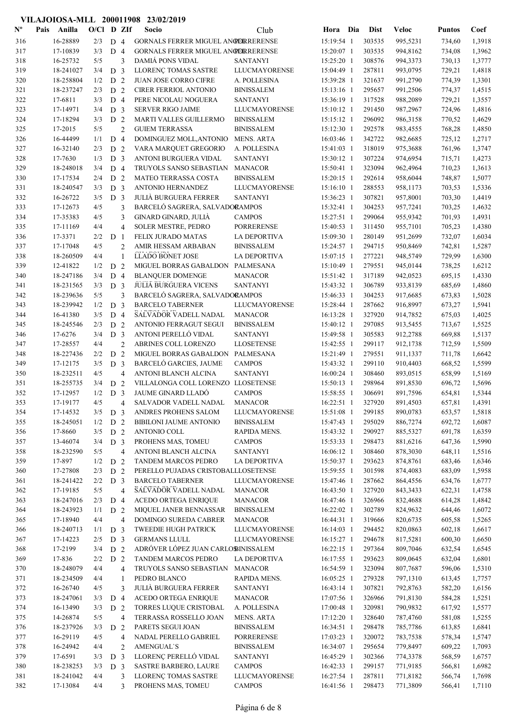#### Nº Pais Anilla O/Cl D ZIf Socio Club Hora Dia Dist Veloc VILAJOIOSA-MLL 200011908 23/02/2019 Pais Anilla Socio O/Cl D ZIf Puntos Coef Club Dist 316 16-28889 2/3 D 4 GORNALS FERRER MIGUEL ANGERERENSE 15:19:54 1 303535 995.5231 734.60 1.3918 317 17-10839 3/3 D 4 GORNALS FERRER MIGUEL ANGERERENSE 15:20:07 1 303535 994,8162 734,08 1,3962 318 16-25732 5/5 3 DAMIÁ PONS VIDAL SANTANYI 15:25:20 1 308576 994,3373 730,13 1,3777 319 18-241027 3/4 D 3 LLORENÇ TOMAS SASTRE LLUCMAYORENSE 15:04:49 1 287811 993,0795 729,21 1,4818 320 18-258804 1/2 D 2 JUAN JOSE CORRO CIFRE A. POLLESINA 15:39:28 1 321637 991,2790 774,39 1,3301<br>321 18-237247 2/3 D 2 CIRER FERRIOL ANTONIO BINISSALEM 15:13:16 1 295657 991.2506 774.37 1,4515 321 18-237247 2/3 D 2 CIRER FERRIOL ANTONIO BINISSALEM 15:13:16 1 295657 991,2506 774,37 1,4515 322 17-6811 3/3 D 4 PERE NICOLAU NOGUERA SANTANYI 15:36:19 1 317528 988,2089 729,21 1,3557 323 17-14971 3/4 D 3 SERVER RIGO JAIME LLUCMAYORENSE 15:10:12 1 291450 987,2967 724,96 1,4816 324 17-18294 3/3 D 2 MARTI VALLES GUILLERMO BINISSALEM 15:15:12 1 296092 986,3158 770,52 1,4629 325 17-2015 5/5 2 GUIEM TERRASSA BINISSALEM 15:12:30 1 292578 983,4555 768,28 1,4850 326 16-44499 1/1 D 4 DOMINGUEZ MOLL,ANTONIO MENS. ARTA 16:03:46 1 342722 982,6685 725,12 1,2717 327 16-32140 2/3 D 2 VARA MARQUET GREGORIO A. POLLESINA 15:41:03 1 318019 975,3688 761,96 1,3747 328 17-7630 1/3 D 3 ANTONI BURGUERA VIDAL SANTANYI 15:30:12 1 307224 974,6954 715,71 1,4273 329 18-248018 3/4 D 4 TRUYOLS SANSO SEBASTIAN MANACOR 15:50:41 1 323094 962,4964 710,23 1,3613 330 17-17534 2/4 D 2 MATEO TERRASSA COSTA BINISSALEM 15:20:15 1 292614 958,6044 748,87 1,5077 331 18-240547 3/3 D 3 ANTONIO HERNANDEZ LLUCMAYORENSE 15:16:10 1 288553 958,1173 703,53 1,5336 332 16-26722 3/5 D 3 JULIÀ BURGUERA FERRER SANTANYI 15:36:23 1 307821 957,8001 703,30 1,4419 333 17-12673 4/5 3 BARCELÓ SAGRERA, SALVADORAMPOS 15:32:41 1 304253 957,7241 703,25 1,4632 334 17-35383 4/5 3 GINARD GINARD, JULIÀ CAMPOS 15:27:51 1 299064 955,9342 701,93 1,4931 335 17-11169 4/4 4 SOLER MESTRE, PEDRO PORRERENSE 15:40:53 1 311450 955,7101 705,23 1,4380 336 17-3371 2/2 D 1 FELIX JURADO MATAS LA DEPORTIVA 15:09:30 1 280149 951,2699 732,07 1,6034 337 17-17048 4/5 2 AMIR HESSAM ARBABAN BINISSALEM 15:24:57 1 294715 950,8469 742,81 1,5287 **LLADO BONET JOSE** 338 18-260509 4/4 1 LLADO BONET JOSE LA DEPORTIVA 15:07:15 1 277221 948,5749 729,99 1,6300 339 12-41822 1/2 D 2 MIGUEL BORRAS GABALDON PALMESANA 15:10:49 1 279551 945,0144 738.25 1,6212 340 18-247186 3/4 D 4 BLANQUER DOMENGE MANACOR 15:51:42 1 317189 942,0523 695,15 1,4330 341 18-231565 3/3 D 3 JULIÀ BURGUERA VICENS SANTANYI 15:43:32 1 306789 933,8139 685,69 1,4860 342 18-239636 5/5 3 BARCELÓ SAGRERA, SALVADORAMPOS 15:46:33 1 304253 917,6685 673,83 1,5028 343 18-239942 1/2 D 3 BARCELO TABERNER LLUCMAYORENSE 15:28:44 1 287662 344 16-41380 3/5 D 4 SALVADOR VADELL NADAL MANACOR 16:13:28 1 327920 914,7852 675,03 1,4025 1/2 D 3 BARCELO TABERNER LLUCMAYORENSE 15:28:44 1 287662 916,8997 673,27 1,5941 345 18-245546 2/3 D 2 ANTONIO FERRAGUT SEGUI BINISSALEM 15:40:12 1 297085 913,5455 713,67 1,5525 346 17-6276 3/4 D 3 ANTONI PERELLÓ VIDAL SANTANYI 15:49:58 1 305583 912,2788 669,88 1,5137 347 17-28557 4/4 2 ABRINES COLL LORENZO LLOSETENSE 15:42:55 1 299117 912,1738 712,59 1,5509 348 18-227436 2/2 D 2 MIGUEL BORRAS GABALDON PALMESANA 15:21:49 1 279551 911,1337 711,78 1,6642 349 17-12175 3/5 D 3 BARCELÓ GARCIES, JAUME CAMPOS 15:43:32 1 299110 910,4403 668,52 1,5599 350 18-232511 4/5 4 ANTONI BLANCH ALCINA SANTANYI 16:00:24 1 308460 893,0515 658,99 1,5169 351 18-255735 3/4 D 2 VILLALONGA COLL LORENZO LLOSETENSE 15:50:13 1 298964 891,8530 696,72 1,5696 352 17-12957 1/2 D 3 JAUME GINARD LLADÓ CAMPOS 15:58:55 1 306691 891,7596 654,81 1,5344 353 17-19177 4/5 4 SALVADOR VADELL NADAL MANACOR 16:22:51 1 327920 891.4503 657.81 1.4391 354 17-14532 3/5 D 3 ANDRES PROHENS SALOM LLUCMAYORENSE 15:51:08 1 299185 890,0783 653,57 1,5818 355 18-245051 1/2 D 2 BIBILONI JAUME ANTONIO BINISSALEM 15:47:43 1 295029 886,7274 692,72 1,6087 356 17-8660 3/5 D 2 ANTONIO COLL RAPIDA MENS. 15:43:32 1 290927 885,5327 691,78 1,6359 357 13-46074 3/4 D 3 PROHENS MAS, TOMEU CAMPOS 15:53:33 1 298473 881,6216 647,36 1,5990 358 18-232590 5/5 4 ANTONI BLANCH ALCINA SANTANYI 16:06:12 1 308460 878,3030 648.11 1,5516 359 17-897 1/2 D 2 TANDEM MARCOS PEDRO LA DEPORTIVA 15:50:37 1 293623 874,8761 683,46 1,6346<br>360 17-27808 2/3 D 2 PERELLO-PUJADAS CRISTOBALLI OSETENSE 15:59:55 1 301598 874-4083 683.09 1.5958 360 17-27808 2/3 D 2 PERELLO PUJADAS CRISTOBALLI OSETENSE 15:59:55 1 301598 874 4083 683,09 1,5958 361 18-241422 2/2 D 3 BARCELO TABERNER LLUCMAYORENSE 15:47:46 1 287662 864,4556 634,76 1,6777 362 17-19185 5/5 4 SALVADOR VADELL NADAL MANACOR 16:43:50 1 327920 843,3433 622,31 1,4758 363 18-247016 2/3 D 4 ACEDO ORTEGA ENRIQUE MANACOR 16:47:46 1 326966 832,4688 614,28 1,4842 364 18-243923 1/1 D 2 MIQUEL JANER BENNASSAR BINISSALEM 16:22:02 1 302789 824,9632 644,46 1,6072 365 17-18940 4/4 4 DOMINGO SUREDA CABRER MANACOR 16:44:31 1 319666 820,6735 605,58 1,5265 366 18-240713 1/1 D 3 TWEEDIE HUGH PATRICK LLUCMAYORENSE 16:14:03 1 294452 820.0863 602.18 1.6617 367 17-14223 2/5 D 3 GERMANS LLULL LLUCMAYORENSE 16:15:27 1 294678 817,5281 600,30 1,6650 368 17-2199 3/4 D 2 ADRÓVER LÓPEZ JUAN CARLOS INISSALEM 16:22:15 1 297364 809,7046 632,54 1,6545 369 17-836 2/2 D 2 TANDEM MARCOS PEDRO LA DEPORTIVA 16:17:55 1 293623 809,0645 632,04 1,6801 370 18-248079 4/4 4 TRUYOLS SANSO SEBASTIAN MANACOR 16:54:59 1 323094 807,7687 596,06 1,5310 371 18-234509 4/4 1 PEDRO BLANCO RAPIDA MENS. 16:05:25 1 279328 797,1310 613,45 1,7757 372 16-26740 4/5 3 JULIÀ BURGUERA FERRER SANTANYI 16:43:14 1 307821 792,8763 582,20 1,6156 373 18-247061 3/3 D 4 ACEDO ORTEGA ENRIQUE MANACOR 17:07:56 1 326966 791,8130 584,28 1,5251 374 16-13490 3/3 D 2 TORRES LUQUE CRISTOBAL A. POLLESINA 17:00:48 1 320981 790,9832 617,92 1,5577 375 14-26874 5/5 4 TERRASSA ROSSELLO JOAN MENS. ARTA 17:12:20 1 328640 787,4760 581,08 1,5255 376 18-237926 3/3 D 2 PARETS SEGUI JOAN BINISSALEM 16:34:51 1 298478 785,7786 613,85 1,6841<br>377 16-29119 4/5 4 NADAL PERELLO GABRIEL PORRERENSE 17:03:23 1 320072 783.7538 578.34 1,5747 377 16-29119 17:03:23 1 320072 4/5 4 NADAL PERELLO GABRIEL PORRERENSE 783,7538 578,34 1,5747 378 16-24942 4/4 2 AMENGUAL`S BINISSALEM 16:34:07 1 295654 779,8497 609,22 1,7093 379 17-6591 3/3 D 3 LLORENÇ PERELLÓ VIDAL SANTANYI 16:45:29 1 302366 774,3378 568,59 1,6757 380 18-238253 3/3 D 3 SASTRE BARBERO, LAURE CAMPOS 16:42:33 1 299157 771,9185 566,81 1,6982 381 18-241042 4/4 3 LLORENÇ TOMAS SASTRE LLUCMAYORENSE 16:27:54 1 287811 771,8182 566,74 1,7698 382 17-13084 4/4 3 PROHENS MAS, TOMEU CAMPOS 16:41:56 1 298473 771,3809 566,41 1,7110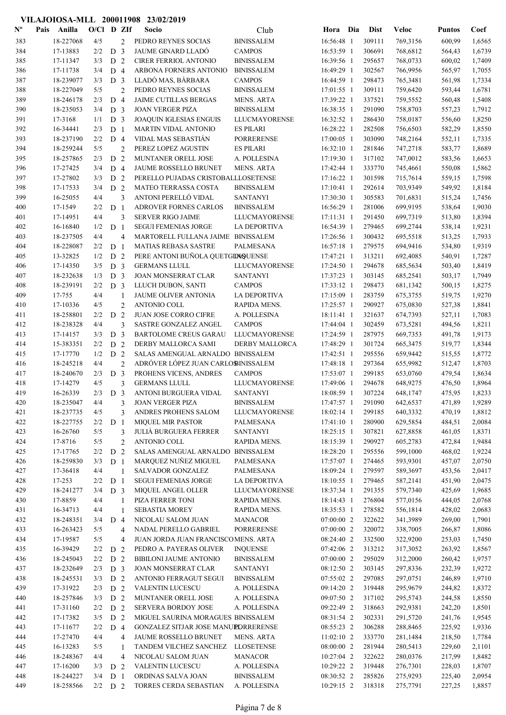| $\mathbf{N}^{\mathbf{o}}$ | Pais | Anilla                | $O/C1$ D ZIf     |                |                | Socio                                                | Club                                 | Hora                       | Dia | <b>Dist</b>      | <b>Veloc</b>         | <b>Puntos</b>    | Coef             |
|---------------------------|------|-----------------------|------------------|----------------|----------------|------------------------------------------------------|--------------------------------------|----------------------------|-----|------------------|----------------------|------------------|------------------|
| 383                       |      | 18-227068             | 4/5              |                | $\overline{2}$ | PEDRO REYNES SOCIAS                                  | <b>BINISSALEM</b>                    | 16:56:48 1                 |     | 309111           | 769,3156             | 600,99           | 1,6565           |
| 384                       |      | 17-13883              | 2/2              | D <sub>3</sub> |                | <b>JAUME GINARD LLADÓ</b>                            | <b>CAMPOS</b>                        | 16:53:59 1                 |     | 306691           | 768,6812             | 564,43           | 1,6739           |
| 385                       |      | 17-11347              | 3/3              | D <sub>2</sub> |                | <b>CIRER FERRIOL ANTONIO</b>                         | <b>BINISSALEM</b>                    | 16:39:56 1                 |     | 295657           | 768,0733             | 600,02           | 1,7409           |
| 386                       |      | 17-11738              | 3/4              | D <sub>4</sub> |                | ARBONA FORNERS ANTONIO                               | <b>BINISSALEM</b>                    | 16:49:29 1                 |     | 302567           | 766,9956             | 565,97           | 1,7055           |
| 387                       |      | 18-239077             | 3/3              | D <sub>3</sub> |                | LLADÓ MAS, BÀRBARA                                   | <b>CAMPOS</b>                        | 16:44:59 1                 |     | 298473           | 765,3481             | 561,98           | 1,7334           |
| 388                       |      | 18-227049             | 5/5              |                | $\overline{2}$ | PEDRO REYNES SOCIAS                                  | <b>BINISSALEM</b>                    | 17:01:55 1                 |     | 309111           | 759,6420             | 593,44           | 1,6781           |
| 389                       |      | 18-246178             | 2/3              | D <sub>4</sub> |                | JAIME CUTILLAS BERGAS                                | <b>MENS. ARTA</b>                    | 17:39:22 1                 |     | 337521           | 759,5552             | 560,48           | 1,5408           |
| 390                       |      | 18-235053             | 3/4              | D <sub>3</sub> |                | <b>JOAN VERGER PIZA</b>                              | <b>BINISSALEM</b>                    | 16:38:35 1                 |     | 291090           | 758,8703             | 557,23           | 1,7912           |
| 391                       |      | 17-3168               | 1/1              | D <sub>3</sub> |                | JOAQUIN IGLESIAS ENGUIS                              | <b>LLUCMAYORENSE</b>                 | 16:32:52 1                 |     | 286430           | 758,0187             | 556,60           | 1,8250           |
| 392                       |      | 16-34441              | 2/3              | D <sub>1</sub> |                | MARTIN VIDAL ANTONIO                                 | <b>ES PILARI</b>                     | 16:28:22 1                 |     | 282508           | 756,6503             | 582,29           | 1,8550           |
| 393                       |      | 18-237190             | 2/2              | D <sub>4</sub> |                | VIDAL MAS SEBASTIÁN                                  | <b>PORRERENSE</b>                    | 17:00:05 1                 |     | 303090           | 748,2164             | 552,11           | 1,7335           |
| 394                       |      | 18-259244             | 5/5              |                | $\overline{2}$ | PEREZ LOPEZ AGUSTIN                                  | <b>ES PILARI</b>                     | 16:32:10 1                 |     | 281846           | 747,2718             | 583,77           | 1,8689           |
| 395                       |      | 18-257865             | 2/3              | D <sub>2</sub> |                | MUNTANER ORELL JOSE                                  | A. POLLESINA                         | 17:19:30 1                 |     | 317102           | 747,0012             | 583,56           | 1,6653           |
| 396                       |      | 17-27425              | 3/4              | D <sub>4</sub> |                | <b>JAUME ROSSELLO BRUNET</b>                         | <b>MENS. ARTA</b>                    | 17:42:44 1                 |     | 333770           | 745,4661             | 550,08           | 1,5862           |
| 397                       |      | 17-27802              | 3/3              | D <sub>2</sub> |                | PERELLO PUJADAS CRISTOBALLLOSETENSE                  |                                      | 17:16:22 1                 |     | 301598           | 715,7614             | 559,15           | 1,7598           |
| 398                       |      | 17-17533              | 3/4              | D <sub>2</sub> |                | <b>MATEO TERRASSA COSTA</b><br>ANTONI PERELLÓ VIDAL  | <b>BINISSALEM</b><br><b>SANTANYI</b> | 17:10:41 1                 |     | 292614<br>305583 | 703,9349             | 549,92           | 1,8184           |
| 399<br>400                |      | 16-25055<br>17-1549   | 4/4<br>2/2       | D <sub>1</sub> | 3              | ADROVER FORNES CARLOS                                | <b>BINISSALEM</b>                    | 17:30:30 1<br>16:56:29 1   |     | 281006           | 701,6831<br>699,9195 | 515,24<br>538,64 | 1,7456<br>1,9030 |
| 401                       |      | 17-14951              | 4/4              |                | 3              | <b>SERVER RIGO JAIME</b>                             | LLUCMAYORENSE                        | 17:11:31 1                 |     | 291450           | 699,7319             | 513,80           | 1,8394           |
| 402                       |      | 16-16840              | 1/2              | D <sub>1</sub> |                | <b>SEGUI FEMENIAS JORGE</b>                          | LA DEPORTIVA                         | 16:54:39 1                 |     | 279465           | 699,2744             | 538,14           | 1,9231           |
| 403                       |      | 18-237505             | 4/4              |                | $\overline{4}$ | MARTORELL FULLANA JAIME BINISSALEM                   |                                      | 17:26:56 1                 |     | 300432           | 695,5518             | 513,25           | 1,7933           |
| 404                       |      | 18-228087             | 2/2              | D <sub>1</sub> |                | MATIAS REBASA SASTRE                                 | PALMESANA                            | 16:57:18 1                 |     | 279575           | 694,9416             | 534,80           | 1,9319           |
| 405                       |      | 13-32825              | 1/2              | D <sub>2</sub> |                | PERE ANTONI BUÑOLA QUETGINQUENSE                     |                                      | 17:47:21 1                 |     | 313211           | 692,4085             | 540,91           | 1,7287           |
| 406                       |      | 17-14350              | 3/5              | D <sub>3</sub> |                | <b>GERMANS LLULL</b>                                 | <b>LLUCMAYORENSE</b>                 | 17:24:50 1                 |     | 294678           | 685,5634             | 503,40           | 1,8419           |
| 407                       |      | 18-232638             | 1/3              | D <sub>3</sub> |                | JOAN MONSERRAT CLAR                                  | <b>SANTANYI</b>                      | 17:37:23 1                 |     | 303145           | 685,2541             | 503,17           | 1,7949           |
| 408                       |      | 18-239191             | 2/2              | D <sub>3</sub> |                | LLUCH DUBON, SANTI                                   | <b>CAMPOS</b>                        | 17:33:12 1                 |     | 298473           | 681,1342             | 500,15           | 1,8275           |
| 409                       |      | 17-755                | 4/4              |                | 1              | JAUME OLIVER ANTONIA                                 | LA DEPORTIVA                         | 17:15:09 1                 |     | 283759           | 675,3755             | 519,75           | 1,9270           |
| 410                       |      | 17-10336              | 4/5              |                | $\overline{2}$ | ANTONIO COLL                                         | RAPIDA MENS.                         | 17:25:57 1                 |     | 290927           | 675,0830             | 527,38           | 1,8841           |
| 411                       |      | 18-258801             | 2/2              | D <sub>2</sub> |                | JUAN JOSE CORRO CIFRE                                | A. POLLESINA                         | 18:11:41 1                 |     | 321637           | 674,7393             | 527,11           | 1,7083           |
| 412                       |      | 18-238328             | 4/4              |                | 3              | SASTRE GONZALEZ ANGEL                                | <b>CAMPOS</b>                        | 17:44:04 1                 |     | 302459           | 673,5281             | 494,56           | 1,8211           |
| 413                       |      | 17-14157              | 3/3              | D <sub>3</sub> |                | <b>BARTOLOME CREUS GARAU</b>                         | LLUCMAYORENSE                        | 17:24:59 1                 |     | 287975           | 669,7353             | 491,78           | 1,9173           |
| 414                       |      | 15-383351             | 2/2              | D <sub>2</sub> |                | DERBY MALLORCA SAMI                                  | DERBY MALLORCA                       | 17:48:29 1                 |     | 301724           | 665,3475             | 519,77           | 1,8344           |
| 415                       |      | 17-17770              | 1/2              | D <sub>2</sub> |                | SALAS AMENGUAL ARNALDO BINISSALEM                    |                                      | 17:42:51 1                 |     | 295556           | 659,9442             | 515,55           | 1,8772           |
| 416                       |      | 18-245218             | 4/4              |                | $\overline{2}$ | ADRÓVER LÓPEZ JUAN CARLOBINISSALEM                   |                                      | 17:48:18 1                 |     | 297364           | 655,9982             | 512,47           | 1,8703           |
| 417                       |      | 18-240670             | 2/3              | D <sub>3</sub> |                | PROHENS VICENS, ANDRES                               | <b>CAMPOS</b>                        | 17:53:07 1                 |     | 299185           | 653,0760             | 479,54           | 1,8634           |
| 418                       |      | 17-14279              | 4/5              |                | 3              | <b>GERMANS LLULL</b>                                 | <b>LLUCMAYORENSE</b>                 | 17:49:06 1                 |     | 294678           | 648,9275             | 476,50           | 1,8964           |
| 419                       |      | 16-26339              | 2/3              | D <sub>3</sub> |                | <b>ANTONI BURGUERA VIDAL</b>                         | <b>SANTANYI</b>                      | 18:08:59 1                 |     | 307224           | 648,1747             | 475,95           | 1,8233           |
| 420                       |      | 18-235047             | 4/4              |                | 3              | JOAN VERGER PIZA                                     | <b>BINISSALEM</b>                    | 17:47:57 1                 |     | 291090           | 642,6537             | 471,89           | 1,9289           |
| 421                       |      | 18-237735             | 4/5              |                | 3              | ANDRES PROHENS SALOM                                 | <b>LLUCMAYORENSE</b>                 | 18:02:14 1                 |     | 299185           | 640,3332             | 470,19           | 1,8812           |
| 422                       |      | 18-227755             | 2/2              | D <sub>1</sub> |                | <b>MIQUEL MIR PASTOR</b>                             | PALMESANA                            | 17:41:10 1                 |     | 280900           | 629,5854             | 484,51           | 2,0084           |
| 423                       |      | 16-26760              | 5/5              |                | 3              | <b>JULIÀ BURGUERA FERRER</b>                         | <b>SANTANYI</b>                      | 18:25:15 1                 |     | 307821           | 627,8858             | 461,05           | 1,8371           |
| 424                       |      | 17-8716               | 5/5              |                | $\overline{2}$ | ANTONIO COLL                                         | RAPIDA MENS.                         | 18:15:39 1                 |     | 290927           | 605,2783             | 472,84           | 1,9484           |
| 425                       |      | 17-17765              | 2/2              | D <sub>2</sub> |                | SALAS AMENGUAL ARNALDO BINISSALEM                    |                                      | 18:28:20 1                 |     | 295556           | 599,1000             | 468,02           | 1,9224           |
| 426                       |      | 18-259830             | 3/3              | D <sub>1</sub> |                | MARQUEZ NUÑEZ MIGUEL                                 | PALMESANA                            | 17:57:07 1                 |     | 274465           | 593,9301             | 457,07           | 2,0750           |
| 427                       |      | 17-36418              | 4/4              |                | 1              | SALVADOR GONZALEZ                                    | PALMESANA                            | 18:09:24 1                 |     | 279597           | 589,3697             | 453,56           | 2,0417           |
| 428                       |      | 17-253                | 2/2              | D <sub>1</sub> |                | <b>SEGUI FEMENIAS JORGE</b>                          | LA DEPORTIVA                         | 18:10:55 1                 |     | 279465           | 587,2141             | 451,90           | 2,0475           |
| 429                       |      | 18-241277             | 3/4              | D <sub>3</sub> |                | MIQUEL ANGEL OLLER                                   | LLUCMAYORENSE                        | 18:37:34 1                 |     | 291355           | 579,7340             | 425,69           | 1,9685           |
| 430                       |      | 17-8859               | 4/4              |                | 1              | PIZA FERRER TONI                                     | RAPIDA MENS.                         | 18:14:43 1                 |     | 276804           | 577,0156             | 444,05           | 2,0768           |
| 431                       |      | 16-34713              | 4/4              |                | 1              | <b>SEBASTIA MOREY</b>                                | RAPIDA MENS.                         | 18:35:53 1                 |     | 278582           | 556,1814             | 428,02           | 2,0683           |
| 432                       |      | 18-248351             | 3/4              | D <sub>4</sub> |                | NICOLAU SALOM JUAN                                   | <b>MANACOR</b>                       | 07:00:00 2                 |     | 322622           | 341,3989             | 269,00           | 1,7901           |
| 433                       |      | 16-263423             | 5/5              |                | $\overline{4}$ | NADAL PERELLO GABRIEL                                | <b>PORRERENSE</b>                    | 07:00:00 2                 |     | 320072           | 338,7005             | 266,87           | 1,8086           |
| 434                       |      | 17-19587              | 5/5              |                | $\overline{4}$ | JUAN JORDA JUAN FRANCISCOMENS. ARTA                  |                                      | 08:24:40 2                 |     | 332500           | 322,9200             | 253,03           | 1,7450           |
| 435                       |      | 16-39429<br>18-245043 | 2/2              | D <sub>2</sub> |                | PEDRO A. PAYERAS OLIVER                              | <b>INQUENSE</b>                      | $07:42:06$ 2<br>07:00:00 2 |     | 313212<br>295029 | 317,3052<br>312,2000 | 263,92<br>260,42 | 1,8567<br>1,9757 |
| 436                       |      | 18-232649             | 2/2<br>$2/3$ D 3 | D <sub>2</sub> |                | <b>BIBILONI JAUME ANTONIO</b><br>JOAN MONSERRAT CLAR | <b>BINISSALEM</b><br><b>SANTANYI</b> | 08:12:50 2                 |     | 303145           | 297,8336             | 232,39           | 1,9272           |
| 437<br>438                |      | 18-245531             | 3/3              | D <sub>2</sub> |                | <b>ANTONIO FERRAGUT SEGUI</b>                        | <b>BINISSALEM</b>                    | 07:55:02 2                 |     | 297085           | 297,0751             | 246,89           | 1,9710           |
| 439                       |      | 17-31922              | 2/3              | D <sub>2</sub> |                | <b>VALENTIN LUCESCU</b>                              | A. POLLESINA                         | 09:14:20 2                 |     | 319448           | 295,9679             | 244,82           | 1,8372           |
| 440                       |      | 18-257846             | 3/3              | D <sub>2</sub> |                | MUNTANER ORELL JOSE                                  | A. POLLESINA                         | 09:07:50 2                 |     | 317102           | 295,5743             | 244,58           | 1,8550           |
| 441                       |      | 17-31160              | 2/2              | D <sub>2</sub> |                | <b>SERVERA BORDOY JOSE</b>                           | A. POLLESINA                         | 09:22:49 2                 |     | 318663           | 292,9381             | 242,20           | 1,8501           |
| 442                       |      | 17-17382              | 3/5              | D <sub>2</sub> |                | MIGUEL SAURINA MORAGUES BINISSALEM                   |                                      | 08:31:54 2                 |     | 302331           | 291,5720             | 241,76           | 1,9545           |
| 443                       |      | 17-11677              | 2/2              | D <sub>4</sub> |                | GONZALEZ SITJAR JOSE MANUPDRRERENSE                  |                                      | 08:55:23 2                 |     | 306288           | 288,8465             | 225,92           | 1,9336           |
| 444                       |      | 17-27470              | 4/4              |                | $\overline{4}$ | <b>JAUME ROSSELLO BRUNET</b>                         | <b>MENS. ARTA</b>                    | 11:02:10 2                 |     | 333770           | 281,1484             | 218,50           | 1,7784           |
| 445                       |      | 16-13283              | 5/5              |                | 1              | TANDEM VILCHEZ SANCHEZ                               | <b>LLOSETENSE</b>                    | 08:00:00 2                 |     | 281944           | 280,5413             | 229,60           | 2,1101           |
| 446                       |      | 18-248367             | 4/4              |                | $\overline{4}$ | NICOLAU SALOM JUAN                                   | <b>MANACOR</b>                       | 10:27:04 2                 |     | 322622           | 280,0376             | 217,99           | 1,8482           |
| 447                       |      | 17-16200              | 3/3              | D <sub>2</sub> |                | VALENTIN LUCESCU                                     | A. POLLESINA                         | 10:29:22 2                 |     | 319448           | 276,7301             | 228,03           | 1,8707           |
| 448                       |      | 18-244227             | 3/4              | D <sub>1</sub> |                | ORDINAS SALVA JOAN                                   | <b>BINISSALEM</b>                    | 08:30:52 2                 |     | 285826           | 275,9293             | 225,40           | 2,0954           |
| 449                       |      | 18-258566             | $2/2$ D 2        |                |                | <b>TORRES CERDA SEBASTIAN</b>                        | A. POLLESINA                         | 10:29:15 2                 |     | 318318           | 275,7791             | 227,25           | 1,8857           |
|                           |      |                       |                  |                |                |                                                      |                                      |                            |     |                  |                      |                  |                  |